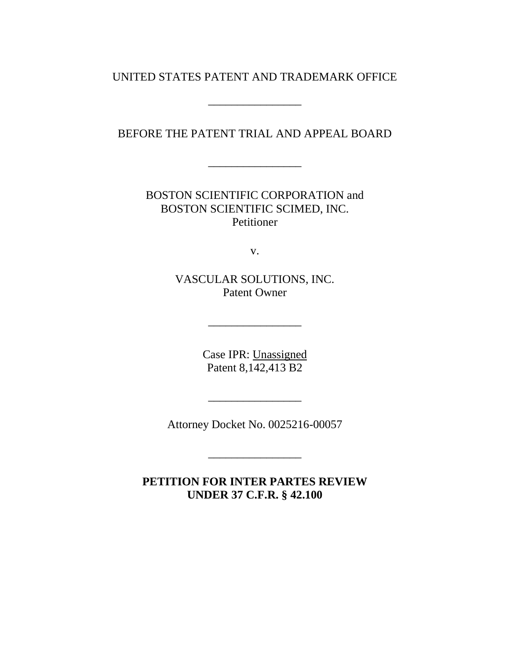### UNITED STATES PATENT AND TRADEMARK OFFICE

\_\_\_\_\_\_\_\_\_\_\_\_\_\_\_\_

BEFORE THE PATENT TRIAL AND APPEAL BOARD

\_\_\_\_\_\_\_\_\_\_\_\_\_\_\_\_

BOSTON SCIENTIFIC CORPORATION and BOSTON SCIENTIFIC SCIMED, INC. Petitioner

v.

VASCULAR SOLUTIONS, INC. Patent Owner

\_\_\_\_\_\_\_\_\_\_\_\_\_\_\_\_

Case IPR: Unassigned Patent 8,142,413 B2

Attorney Docket No. 0025216-00057

\_\_\_\_\_\_\_\_\_\_\_\_\_\_\_\_

\_\_\_\_\_\_\_\_\_\_\_\_\_\_\_\_

**PETITION FOR INTER PARTES REVIEW UNDER 37 C.F.R. § 42.100**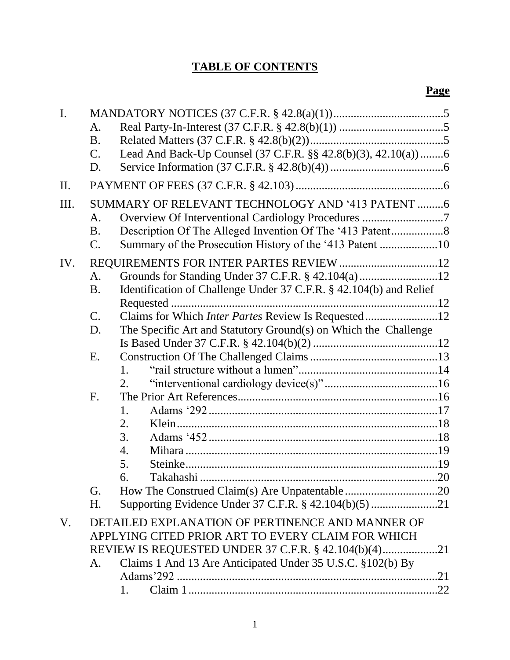# **TABLE OF CONTENTS**

| $\mathbf{I}$ . |                                                    |                                                                    |  |  |
|----------------|----------------------------------------------------|--------------------------------------------------------------------|--|--|
|                | A.                                                 |                                                                    |  |  |
|                | B <sub>1</sub>                                     |                                                                    |  |  |
|                | $\mathcal{C}$ .                                    | Lead And Back-Up Counsel (37 C.F.R. §§ 42.8(b)(3), 42.10(a))6      |  |  |
|                | D.                                                 |                                                                    |  |  |
| II.            |                                                    |                                                                    |  |  |
| III.           |                                                    | SUMMARY OF RELEVANT TECHNOLOGY AND '413 PATENT 6                   |  |  |
|                | A.                                                 | Overview Of Interventional Cardiology Procedures 7                 |  |  |
|                | <b>B.</b>                                          |                                                                    |  |  |
|                | $\mathcal{C}$ .                                    | Summary of the Prosecution History of the '413 Patent 10           |  |  |
| IV.            |                                                    |                                                                    |  |  |
|                | A.                                                 |                                                                    |  |  |
|                | <b>B.</b>                                          | Identification of Challenge Under 37 C.F.R. § 42.104(b) and Relief |  |  |
|                |                                                    |                                                                    |  |  |
|                | $\mathbf{C}$ .                                     | Claims for Which Inter Partes Review Is Requested 12               |  |  |
|                | D.                                                 | The Specific Art and Statutory Ground(s) on Which the Challenge    |  |  |
|                |                                                    |                                                                    |  |  |
|                | E.                                                 |                                                                    |  |  |
|                |                                                    | 1.                                                                 |  |  |
|                |                                                    | 2.                                                                 |  |  |
|                | F <sub>1</sub>                                     |                                                                    |  |  |
|                |                                                    | 1.                                                                 |  |  |
|                |                                                    | 2.                                                                 |  |  |
|                |                                                    | 3.                                                                 |  |  |
|                |                                                    | 4.                                                                 |  |  |
|                |                                                    | 5.                                                                 |  |  |
|                |                                                    | 6.<br>Takahashi.<br>.20                                            |  |  |
|                | G.                                                 |                                                                    |  |  |
|                | H.                                                 | Supporting Evidence Under 37 C.F.R. § 42.104(b)(5) 21              |  |  |
| V.             |                                                    | DETAILED EXPLANATION OF PERTINENCE AND MANNER OF                   |  |  |
|                | APPLYING CITED PRIOR ART TO EVERY CLAIM FOR WHICH  |                                                                    |  |  |
|                | REVIEW IS REQUESTED UNDER 37 C.F.R. § 42.104(b)(4) |                                                                    |  |  |
|                | A.                                                 | Claims 1 And 13 Are Anticipated Under 35 U.S.C. §102(b) By         |  |  |
|                |                                                    |                                                                    |  |  |
|                |                                                    | 1.                                                                 |  |  |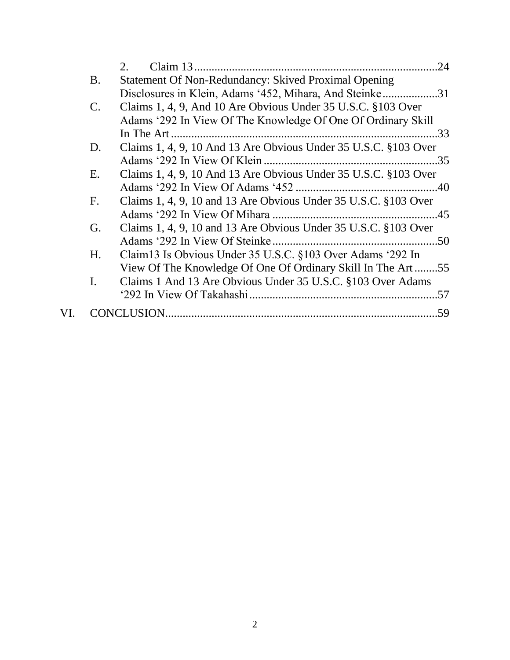|                | 2.                                                              | .24 |
|----------------|-----------------------------------------------------------------|-----|
| <b>B.</b>      | Statement Of Non-Redundancy: Skived Proximal Opening            |     |
|                | Disclosures in Klein, Adams '452, Mihara, And Steinke31         |     |
| $C_{\cdot}$    | Claims 1, 4, 9, And 10 Are Obvious Under 35 U.S.C. §103 Over    |     |
|                | Adams '292 In View Of The Knowledge Of One Of Ordinary Skill    |     |
|                |                                                                 |     |
| D.             | Claims 1, 4, 9, 10 And 13 Are Obvious Under 35 U.S.C. §103 Over |     |
|                |                                                                 |     |
| E.             | Claims 1, 4, 9, 10 And 13 Are Obvious Under 35 U.S.C. §103 Over |     |
|                |                                                                 |     |
| F.             | Claims 1, 4, 9, 10 and 13 Are Obvious Under 35 U.S.C. §103 Over |     |
|                |                                                                 |     |
| G.             | Claims 1, 4, 9, 10 and 13 Are Obvious Under 35 U.S.C. §103 Over |     |
|                |                                                                 |     |
| H.             | Claim13 Is Obvious Under 35 U.S.C. §103 Over Adams '292 In      |     |
|                | View Of The Knowledge Of One Of Ordinary Skill In The Art55     |     |
| $\mathbf{I}$ . | Claims 1 And 13 Are Obvious Under 35 U.S.C. §103 Over Adams     |     |
|                |                                                                 |     |
|                |                                                                 |     |
|                |                                                                 |     |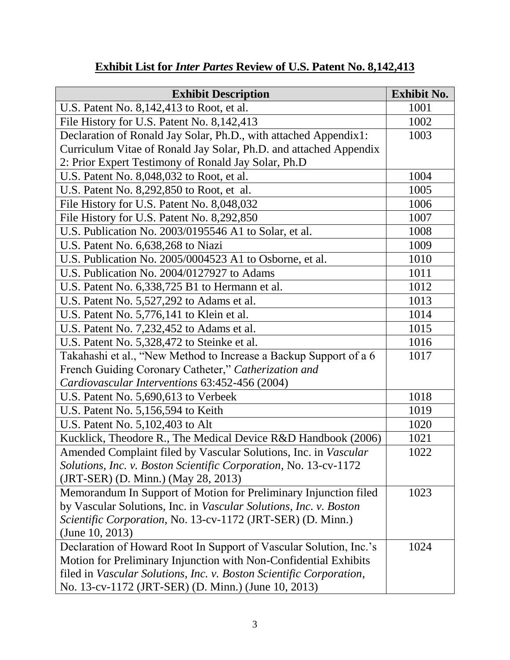| <b>Exhibit Description</b>                                          | <b>Exhibit No.</b> |
|---------------------------------------------------------------------|--------------------|
| U.S. Patent No. 8,142,413 to Root, et al.                           | 1001               |
| File History for U.S. Patent No. 8,142,413                          | 1002               |
| Declaration of Ronald Jay Solar, Ph.D., with attached Appendix1:    | 1003               |
| Curriculum Vitae of Ronald Jay Solar, Ph.D. and attached Appendix   |                    |
| 2: Prior Expert Testimony of Ronald Jay Solar, Ph.D                 |                    |
| U.S. Patent No. 8,048,032 to Root, et al.                           | 1004               |
| U.S. Patent No. 8,292,850 to Root, et al.                           | 1005               |
| File History for U.S. Patent No. 8,048,032                          | 1006               |
| File History for U.S. Patent No. 8,292,850                          | 1007               |
| U.S. Publication No. 2003/0195546 A1 to Solar, et al.               | 1008               |
| U.S. Patent No. 6,638,268 to Niazi                                  | 1009               |
| U.S. Publication No. 2005/0004523 A1 to Osborne, et al.             | 1010               |
| U.S. Publication No. 2004/0127927 to Adams                          | 1011               |
| U.S. Patent No. 6,338,725 B1 to Hermann et al.                      | 1012               |
| U.S. Patent No. 5,527,292 to Adams et al.                           | 1013               |
| U.S. Patent No. 5,776,141 to Klein et al.                           | 1014               |
| U.S. Patent No. 7,232,452 to Adams et al.                           | 1015               |
| U.S. Patent No. 5,328,472 to Steinke et al.                         | 1016               |
| Takahashi et al., "New Method to Increase a Backup Support of a 6   | 1017               |
| French Guiding Coronary Catheter," Catherization and                |                    |
| Cardiovascular Interventions 63:452-456 (2004)                      |                    |
| U.S. Patent No. 5,690,613 to Verbeek                                | 1018               |
| U.S. Patent No. 5,156,594 to Keith                                  | 1019               |
| U.S. Patent No. 5,102,403 to Alt                                    | 1020               |
| Kucklick, Theodore R., The Medical Device R&D Handbook (2006)       | 1021               |
| Amended Complaint filed by Vascular Solutions, Inc. in Vascular     | 1022               |
| Solutions, Inc. v. Boston Scientific Corporation, No. 13-cv-1172    |                    |
| (JRT-SER) (D. Minn.) (May 28, 2013)                                 |                    |
| Memorandum In Support of Motion for Preliminary Injunction filed    | 1023               |
| by Vascular Solutions, Inc. in Vascular Solutions, Inc. v. Boston   |                    |
| Scientific Corporation, No. 13-cv-1172 (JRT-SER) (D. Minn.)         |                    |
| (June $10, 2013$ )                                                  |                    |
| Declaration of Howard Root In Support of Vascular Solution, Inc.'s  | 1024               |
| Motion for Preliminary Injunction with Non-Confidential Exhibits    |                    |
| filed in Vascular Solutions, Inc. v. Boston Scientific Corporation, |                    |
| No. 13-cv-1172 (JRT-SER) (D. Minn.) (June 10, 2013)                 |                    |

# **Exhibit List for** *Inter Partes* **Review of U.S. Patent No. 8,142,413**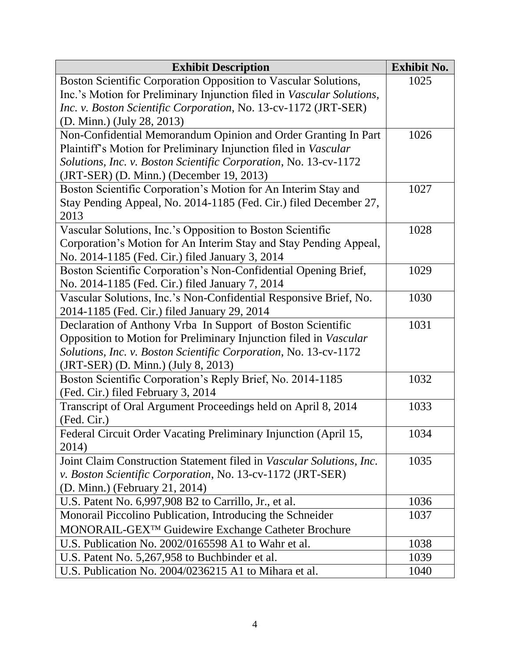| <b>Exhibit Description</b>                                            | <b>Exhibit No.</b> |
|-----------------------------------------------------------------------|--------------------|
| Boston Scientific Corporation Opposition to Vascular Solutions,       | 1025               |
| Inc.'s Motion for Preliminary Injunction filed in Vascular Solutions, |                    |
| Inc. v. Boston Scientific Corporation, No. 13-cv-1172 (JRT-SER)       |                    |
| (D. Minn.) (July 28, 2013)                                            |                    |
| Non-Confidential Memorandum Opinion and Order Granting In Part        | 1026               |
| Plaintiff's Motion for Preliminary Injunction filed in Vascular       |                    |
| Solutions, Inc. v. Boston Scientific Corporation, No. 13-cv-1172      |                    |
| (JRT-SER) (D. Minn.) (December 19, 2013)                              |                    |
| Boston Scientific Corporation's Motion for An Interim Stay and        | 1027               |
| Stay Pending Appeal, No. 2014-1185 (Fed. Cir.) filed December 27,     |                    |
| 2013                                                                  |                    |
| Vascular Solutions, Inc.'s Opposition to Boston Scientific            | 1028               |
| Corporation's Motion for An Interim Stay and Stay Pending Appeal,     |                    |
| No. 2014-1185 (Fed. Cir.) filed January 3, 2014                       |                    |
| Boston Scientific Corporation's Non-Confidential Opening Brief,       | 1029               |
| No. 2014-1185 (Fed. Cir.) filed January 7, 2014                       |                    |
| Vascular Solutions, Inc.'s Non-Confidential Responsive Brief, No.     | 1030               |
| 2014-1185 (Fed. Cir.) filed January 29, 2014                          |                    |
| Declaration of Anthony Vrba In Support of Boston Scientific           | 1031               |
| Opposition to Motion for Preliminary Injunction filed in Vascular     |                    |
| Solutions, Inc. v. Boston Scientific Corporation, No. 13-cv-1172      |                    |
| (JRT-SER) (D. Minn.) (July 8, 2013)                                   |                    |
| Boston Scientific Corporation's Reply Brief, No. 2014-1185            | 1032               |
| (Fed. Cir.) filed February 3, 2014                                    |                    |
| Transcript of Oral Argument Proceedings held on April 8, 2014         | 1033               |
| (Fed. Cir.)                                                           |                    |
| Federal Circuit Order Vacating Preliminary Injunction (April 15,      | 1034               |
| 2014)                                                                 |                    |
| Joint Claim Construction Statement filed in Vascular Solutions, Inc.  | 1035               |
| v. Boston Scientific Corporation, No. 13-cv-1172 (JRT-SER)            |                    |
| (D. Minn.) (February 21, 2014)                                        |                    |
| U.S. Patent No. 6,997,908 B2 to Carrillo, Jr., et al.                 | 1036               |
| Monorail Piccolino Publication, Introducing the Schneider             | 1037               |
| MONORAIL-GEX <sup>™</sup> Guidewire Exchange Catheter Brochure        |                    |
| U.S. Publication No. 2002/0165598 A1 to Wahr et al.                   | 1038               |
| U.S. Patent No. 5,267,958 to Buchbinder et al.                        | 1039               |
| U.S. Publication No. 2004/0236215 A1 to Mihara et al.                 | 1040               |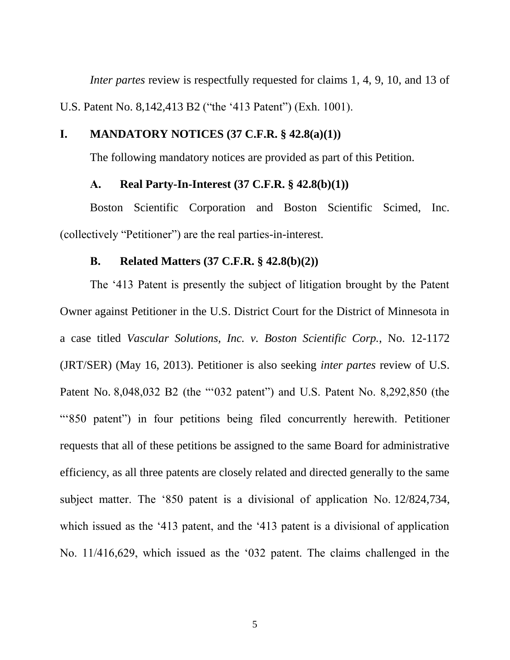*Inter partes* review is respectfully requested for claims 1, 4, 9, 10, and 13 of U.S. Patent No. 8,142,413 B2 ("the '413 Patent") (Exh. 1001).

# <span id="page-5-0"></span>**I. MANDATORY NOTICES (37 C.F.R. § 42.8(a)(1))**

The following mandatory notices are provided as part of this Petition.

#### **A. Real Party-In-Interest (37 C.F.R. § 42.8(b)(1))**

<span id="page-5-1"></span>Boston Scientific Corporation and Boston Scientific Scimed, Inc. (collectively "Petitioner") are the real parties-in-interest.

#### **B. Related Matters (37 C.F.R. § 42.8(b)(2))**

<span id="page-5-2"></span>The '413 Patent is presently the subject of litigation brought by the Patent Owner against Petitioner in the U.S. District Court for the District of Minnesota in a case titled *Vascular Solutions, Inc. v. Boston Scientific Corp.*, No. 12-1172 (JRT/SER) (May 16, 2013). Petitioner is also seeking *inter partes* review of U.S. Patent No. 8,048,032 B2 (the "'032 patent") and U.S. Patent No. 8,292,850 (the "'850 patent") in four petitions being filed concurrently herewith. Petitioner requests that all of these petitions be assigned to the same Board for administrative efficiency, as all three patents are closely related and directed generally to the same subject matter. The '850 patent is a divisional of application No. 12/824,734, which issued as the '413 patent, and the '413 patent is a divisional of application No. 11/416,629, which issued as the '032 patent. The claims challenged in the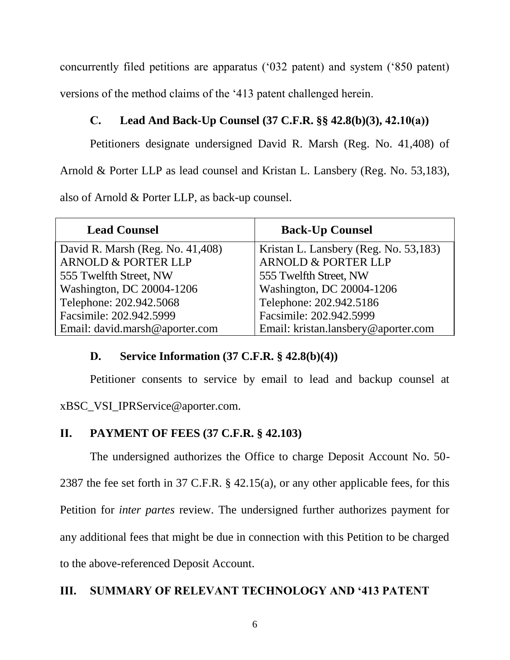concurrently filed petitions are apparatus ('032 patent) and system ('850 patent) versions of the method claims of the '413 patent challenged herein.

# <span id="page-6-0"></span>**C. Lead And Back-Up Counsel (37 C.F.R. §§ 42.8(b)(3), 42.10(a))**

Petitioners designate undersigned David R. Marsh (Reg. No. 41,408) of

Arnold & Porter LLP as lead counsel and Kristan L. Lansbery (Reg. No. 53,183),

also of Arnold & Porter LLP, as back-up counsel.

| <b>Lead Counsel</b>              | <b>Back-Up Counsel</b>                |
|----------------------------------|---------------------------------------|
| David R. Marsh (Reg. No. 41,408) | Kristan L. Lansbery (Reg. No. 53,183) |
| <b>ARNOLD &amp; PORTER LLP</b>   | <b>ARNOLD &amp; PORTER LLP</b>        |
| 555 Twelfth Street, NW           | 555 Twelfth Street, NW                |
| Washington, DC 20004-1206        | Washington, DC 20004-1206             |
| Telephone: 202.942.5068          | Telephone: 202.942.5186               |
| Facsimile: 202.942.5999          | Facsimile: 202.942.5999               |
| Email: david.marsh@aporter.com   | Email: kristan.lansbery@aporter.com   |

# <span id="page-6-1"></span>**D. Service Information (37 C.F.R. § 42.8(b)(4))**

Petitioner consents to service by email to lead and backup counsel at

xBSC\_VSI\_IPRService@aporter.com.

# <span id="page-6-2"></span>**II. PAYMENT OF FEES (37 C.F.R. § 42.103)**

The undersigned authorizes the Office to charge Deposit Account No. 50-

2387 the fee set forth in 37 C.F.R. § 42.15(a), or any other applicable fees, for this

Petition for *inter partes* review. The undersigned further authorizes payment for

any additional fees that might be due in connection with this Petition to be charged

to the above-referenced Deposit Account.

# <span id="page-6-3"></span>**III. SUMMARY OF RELEVANT TECHNOLOGY AND '413 PATENT**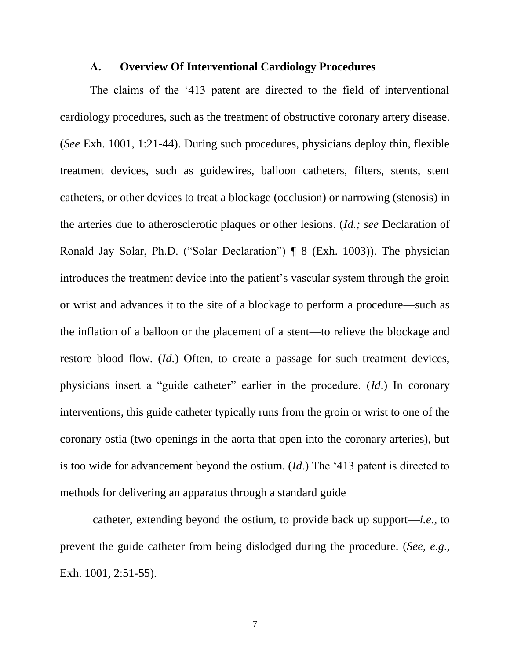#### **A. Overview Of Interventional Cardiology Procedures**

<span id="page-7-0"></span>The claims of the '413 patent are directed to the field of interventional cardiology procedures, such as the treatment of obstructive coronary artery disease. (*See* Exh. 1001, 1:21-44). During such procedures, physicians deploy thin, flexible treatment devices, such as guidewires, balloon catheters, filters, stents, stent catheters, or other devices to treat a blockage (occlusion) or narrowing (stenosis) in the arteries due to atherosclerotic plaques or other lesions. (*Id.; see* Declaration of Ronald Jay Solar, Ph.D. ("Solar Declaration") ¶ 8 (Exh. 1003)). The physician introduces the treatment device into the patient's vascular system through the groin or wrist and advances it to the site of a blockage to perform a procedure—such as the inflation of a balloon or the placement of a stent—to relieve the blockage and restore blood flow. (*Id*.) Often, to create a passage for such treatment devices, physicians insert a "guide catheter" earlier in the procedure. (*Id*.) In coronary interventions, this guide catheter typically runs from the groin or wrist to one of the coronary ostia (two openings in the aorta that open into the coronary arteries), but is too wide for advancement beyond the ostium. (*Id*.) The '413 patent is directed to methods for delivering an apparatus through a standard guide

catheter, extending beyond the ostium, to provide back up support—*i.e*., to prevent the guide catheter from being dislodged during the procedure. (*See, e.g*., Exh. 1001, 2:51-55).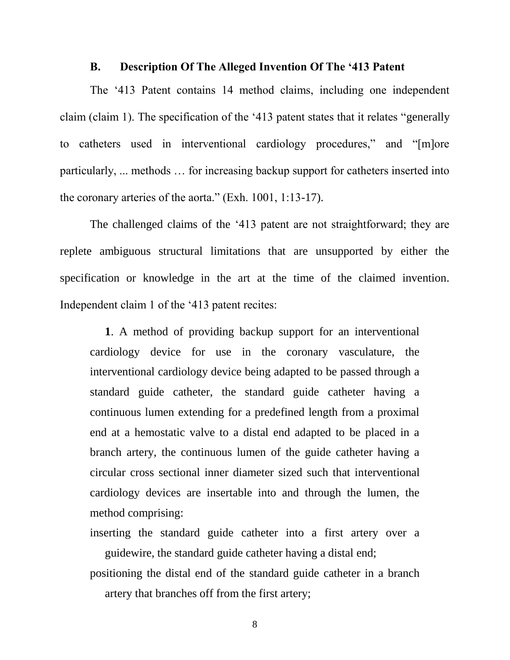#### **B. Description Of The Alleged Invention Of The '413 Patent**

<span id="page-8-0"></span>The '413 Patent contains 14 method claims, including one independent claim (claim 1). The specification of the '413 patent states that it relates "generally to catheters used in interventional cardiology procedures," and "[m]ore particularly, ... methods … for increasing backup support for catheters inserted into the coronary arteries of the aorta." (Exh. 1001, 1:13-17).

The challenged claims of the '413 patent are not straightforward; they are replete ambiguous structural limitations that are unsupported by either the specification or knowledge in the art at the time of the claimed invention. Independent claim 1 of the '413 patent recites:

**1**. A method of providing backup support for an interventional cardiology device for use in the coronary vasculature, the interventional cardiology device being adapted to be passed through a standard guide catheter, the standard guide catheter having a continuous lumen extending for a predefined length from a proximal end at a hemostatic valve to a distal end adapted to be placed in a branch artery, the continuous lumen of the guide catheter having a circular cross sectional inner diameter sized such that interventional cardiology devices are insertable into and through the lumen, the method comprising:

inserting the standard guide catheter into a first artery over a guidewire, the standard guide catheter having a distal end;

positioning the distal end of the standard guide catheter in a branch artery that branches off from the first artery;

8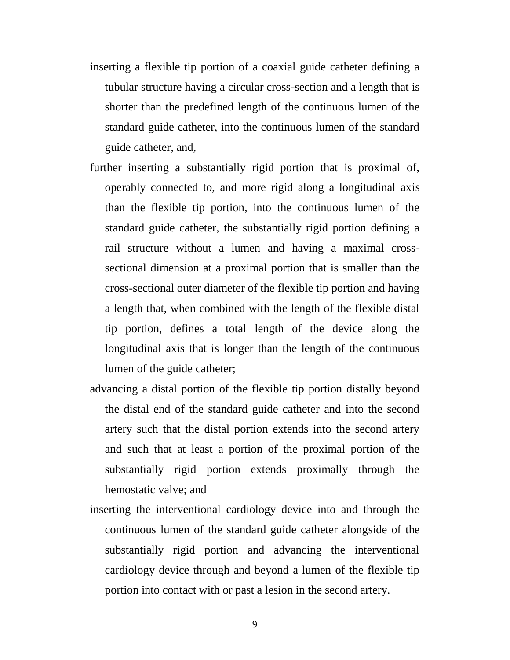- inserting a flexible tip portion of a coaxial guide catheter defining a tubular structure having a circular cross-section and a length that is shorter than the predefined length of the continuous lumen of the standard guide catheter, into the continuous lumen of the standard guide catheter, and,
- further inserting a substantially rigid portion that is proximal of, operably connected to, and more rigid along a longitudinal axis than the flexible tip portion, into the continuous lumen of the standard guide catheter, the substantially rigid portion defining a rail structure without a lumen and having a maximal crosssectional dimension at a proximal portion that is smaller than the cross-sectional outer diameter of the flexible tip portion and having a length that, when combined with the length of the flexible distal tip portion, defines a total length of the device along the longitudinal axis that is longer than the length of the continuous lumen of the guide catheter;
- advancing a distal portion of the flexible tip portion distally beyond the distal end of the standard guide catheter and into the second artery such that the distal portion extends into the second artery and such that at least a portion of the proximal portion of the substantially rigid portion extends proximally through the hemostatic valve; and
- inserting the interventional cardiology device into and through the continuous lumen of the standard guide catheter alongside of the substantially rigid portion and advancing the interventional cardiology device through and beyond a lumen of the flexible tip portion into contact with or past a lesion in the second artery.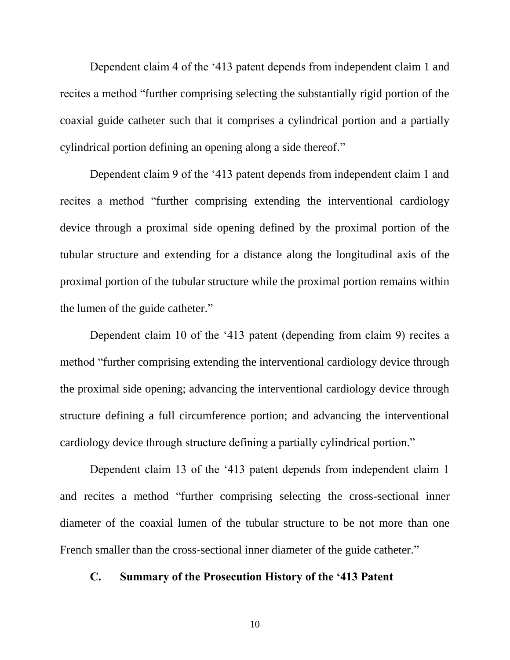Dependent claim 4 of the '413 patent depends from independent claim 1 and recites a method "further comprising selecting the substantially rigid portion of the coaxial guide catheter such that it comprises a cylindrical portion and a partially cylindrical portion defining an opening along a side thereof."

Dependent claim 9 of the '413 patent depends from independent claim 1 and recites a method "further comprising extending the interventional cardiology device through a proximal side opening defined by the proximal portion of the tubular structure and extending for a distance along the longitudinal axis of the proximal portion of the tubular structure while the proximal portion remains within the lumen of the guide catheter."

Dependent claim 10 of the '413 patent (depending from claim 9) recites a method "further comprising extending the interventional cardiology device through the proximal side opening; advancing the interventional cardiology device through structure defining a full circumference portion; and advancing the interventional cardiology device through structure defining a partially cylindrical portion."

Dependent claim 13 of the '413 patent depends from independent claim 1 and recites a method "further comprising selecting the cross-sectional inner diameter of the coaxial lumen of the tubular structure to be not more than one French smaller than the cross-sectional inner diameter of the guide catheter."

### <span id="page-10-0"></span>**C. Summary of the Prosecution History of the '413 Patent**

10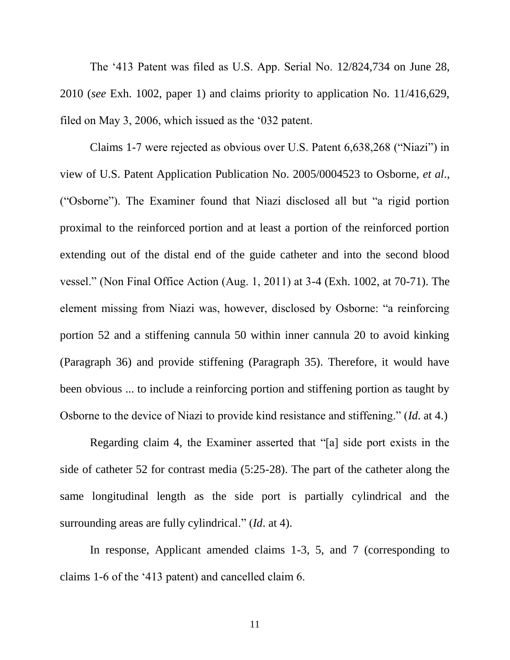The '413 Patent was filed as U.S. App. Serial No. 12/824,734 on June 28, 2010 (*see* Exh. 1002, paper 1) and claims priority to application No. 11/416,629, filed on May 3, 2006, which issued as the '032 patent.

Claims 1-7 were rejected as obvious over U.S. Patent 6,638,268 ("Niazi") in view of U.S. Patent Application Publication No. 2005/0004523 to Osborne, *et al*., ("Osborne"). The Examiner found that Niazi disclosed all but "a rigid portion proximal to the reinforced portion and at least a portion of the reinforced portion extending out of the distal end of the guide catheter and into the second blood vessel." (Non Final Office Action (Aug. 1, 2011) at 3-4 (Exh. 1002, at 70-71). The element missing from Niazi was, however, disclosed by Osborne: "a reinforcing portion 52 and a stiffening cannula 50 within inner cannula 20 to avoid kinking (Paragraph 36) and provide stiffening (Paragraph 35). Therefore, it would have been obvious ... to include a reinforcing portion and stiffening portion as taught by Osborne to the device of Niazi to provide kind resistance and stiffening." (*Id*. at 4.)

Regarding claim 4, the Examiner asserted that "[a] side port exists in the side of catheter 52 for contrast media (5:25-28). The part of the catheter along the same longitudinal length as the side port is partially cylindrical and the surrounding areas are fully cylindrical." (*Id*. at 4).

In response, Applicant amended claims 1-3, 5, and 7 (corresponding to claims 1-6 of the '413 patent) and cancelled claim 6.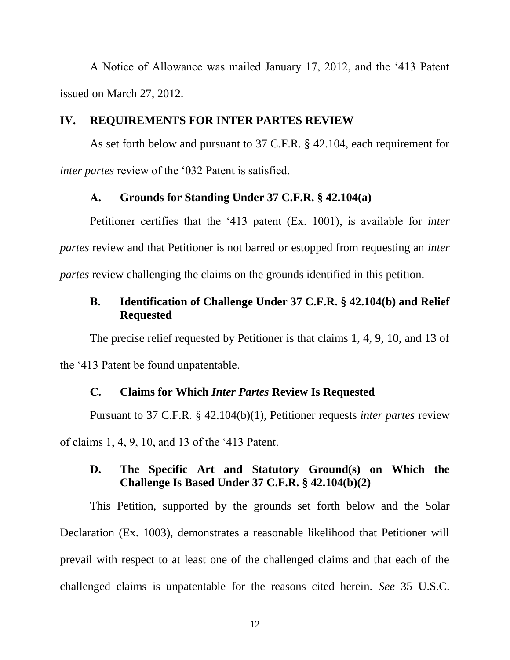A Notice of Allowance was mailed January 17, 2012, and the '413 Patent issued on March 27, 2012.

# <span id="page-12-0"></span>**IV. REQUIREMENTS FOR INTER PARTES REVIEW**

As set forth below and pursuant to 37 C.F.R. § 42.104, each requirement for *inter partes* review of the '032 Patent is satisfied.

#### **A. Grounds for Standing Under 37 C.F.R. § 42.104(a)**

<span id="page-12-1"></span>Petitioner certifies that the '413 patent (Ex. 1001), is available for *inter partes* review and that Petitioner is not barred or estopped from requesting an *inter partes* review challenging the claims on the grounds identified in this petition.

# <span id="page-12-2"></span>**B. Identification of Challenge Under 37 C.F.R. § 42.104(b) and Relief Requested**

The precise relief requested by Petitioner is that claims 1, 4, 9, 10, and 13 of the '413 Patent be found unpatentable.

#### **C. Claims for Which** *Inter Partes* **Review Is Requested**

<span id="page-12-3"></span>Pursuant to 37 C.F.R. § 42.104(b)(1), Petitioner requests *inter partes* review of claims 1, 4, 9, 10, and 13 of the '413 Patent.

# <span id="page-12-4"></span>**D. The Specific Art and Statutory Ground(s) on Which the Challenge Is Based Under 37 C.F.R. § 42.104(b)(2)**

This Petition, supported by the grounds set forth below and the Solar Declaration (Ex. 1003), demonstrates a reasonable likelihood that Petitioner will prevail with respect to at least one of the challenged claims and that each of the challenged claims is unpatentable for the reasons cited herein. *See* 35 U.S.C.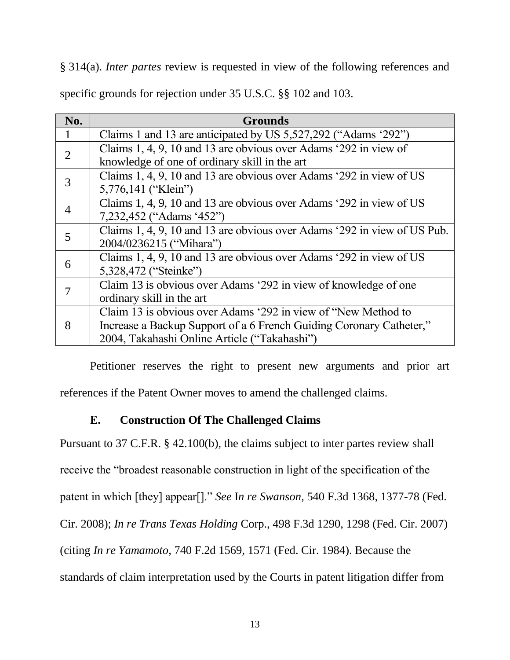§ 314(a). *Inter partes* review is requested in view of the following references and specific grounds for rejection under 35 U.S.C. §§ 102 and 103.

| No.            | <b>Grounds</b>                                                           |
|----------------|--------------------------------------------------------------------------|
|                | Claims 1 and 13 are anticipated by US 5,527,292 ("Adams '292")           |
| $\overline{2}$ | Claims 1, 4, 9, 10 and 13 are obvious over Adams '292 in view of         |
|                | knowledge of one of ordinary skill in the art                            |
| 3              | Claims 1, 4, 9, 10 and 13 are obvious over Adams '292 in view of US      |
|                | 5,776,141 ("Klein")                                                      |
| $\overline{4}$ | Claims 1, 4, 9, 10 and 13 are obvious over Adams '292 in view of US      |
|                | 7,232,452 ("Adams '452")                                                 |
| 5              | Claims 1, 4, 9, 10 and 13 are obvious over Adams '292 in view of US Pub. |
|                | 2004/0236215 ("Mihara")                                                  |
| 6              | Claims 1, 4, 9, 10 and 13 are obvious over Adams '292 in view of US      |
|                | 5,328,472 ("Steinke")                                                    |
|                | Claim 13 is obvious over Adams '292 in view of knowledge of one          |
|                | ordinary skill in the art                                                |
| 8              | Claim 13 is obvious over Adams '292 in view of "New Method to            |
|                | Increase a Backup Support of a 6 French Guiding Coronary Catheter,"      |
|                | 2004, Takahashi Online Article ("Takahashi")                             |

Petitioner reserves the right to present new arguments and prior art references if the Patent Owner moves to amend the challenged claims.

# **E. Construction Of The Challenged Claims**

<span id="page-13-0"></span>Pursuant to 37 C.F.R. § 42.100(b), the claims subject to inter partes review shall

receive the "broadest reasonable construction in light of the specification of the

patent in which [they] appear[]." *See* I*n re Swanson*, 540 F.3d 1368, 1377-78 (Fed.

Cir. 2008); *In re Trans Texas Holding* Corp., 498 F.3d 1290, 1298 (Fed. Cir. 2007)

(citing *In re Yamamoto*, 740 F.2d 1569, 1571 (Fed. Cir. 1984). Because the

standards of claim interpretation used by the Courts in patent litigation differ from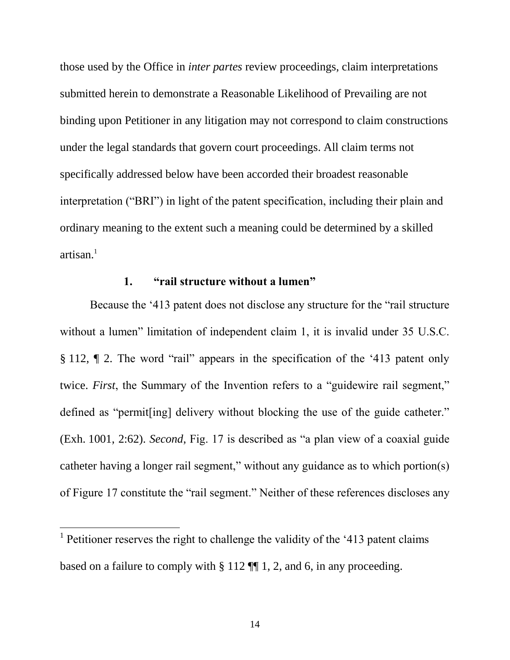those used by the Office in *inter partes* review proceedings, claim interpretations submitted herein to demonstrate a Reasonable Likelihood of Prevailing are not binding upon Petitioner in any litigation may not correspond to claim constructions under the legal standards that govern court proceedings. All claim terms not specifically addressed below have been accorded their broadest reasonable interpretation ("BRI") in light of the patent specification, including their plain and ordinary meaning to the extent such a meaning could be determined by a skilled  $artisan.<sup>1</sup>$ 

### **1. "rail structure without a lumen"**

<span id="page-14-0"></span>Because the '413 patent does not disclose any structure for the "rail structure without a lumen" limitation of independent claim 1, it is invalid under 35 U.S.C. § 112, ¶ 2. The word "rail" appears in the specification of the '413 patent only twice. *First*, the Summary of the Invention refers to a "guidewire rail segment," defined as "permit[ing] delivery without blocking the use of the guide catheter." (Exh. 1001, 2:62). *Second*, Fig. 17 is described as "a plan view of a coaxial guide catheter having a longer rail segment," without any guidance as to which portion(s) of Figure 17 constitute the "rail segment." Neither of these references discloses any

 $\overline{a}$ 

<sup>&</sup>lt;sup>1</sup> Petitioner reserves the right to challenge the validity of the '413 patent claims based on a failure to comply with § 112 ¶¶ 1, 2, and 6, in any proceeding.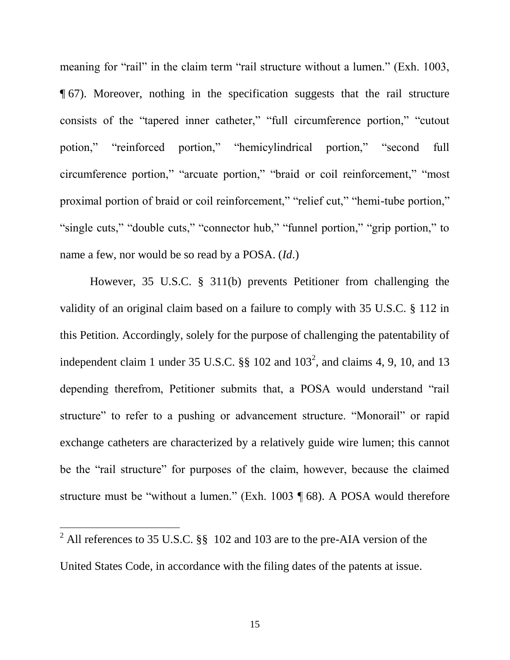meaning for "rail" in the claim term "rail structure without a lumen." (Exh. 1003, ¶ 67). Moreover, nothing in the specification suggests that the rail structure consists of the "tapered inner catheter," "full circumference portion," "cutout potion," "reinforced portion," "hemicylindrical portion," "second full circumference portion," "arcuate portion," "braid or coil reinforcement," "most proximal portion of braid or coil reinforcement," "relief cut," "hemi-tube portion," "single cuts," "double cuts," "connector hub," "funnel portion," "grip portion," to name a few, nor would be so read by a POSA. (*Id*.)

However, 35 U.S.C. § 311(b) prevents Petitioner from challenging the validity of an original claim based on a failure to comply with 35 U.S.C. § 112 in this Petition. Accordingly, solely for the purpose of challenging the patentability of independent claim 1 under 35 U.S.C.  $\S$  102 and  $103^2$ , and claims 4, 9, 10, and 13 depending therefrom, Petitioner submits that, a POSA would understand "rail structure" to refer to a pushing or advancement structure. "Monorail" or rapid exchange catheters are characterized by a relatively guide wire lumen; this cannot be the "rail structure" for purposes of the claim, however, because the claimed structure must be "without a lumen." (Exh. 1003 ¶ 68). A POSA would therefore

<sup>2</sup> All references to 35 U.S.C. §§ 102 and 103 are to the pre-AIA version of the

 $\overline{a}$ 

United States Code, in accordance with the filing dates of the patents at issue.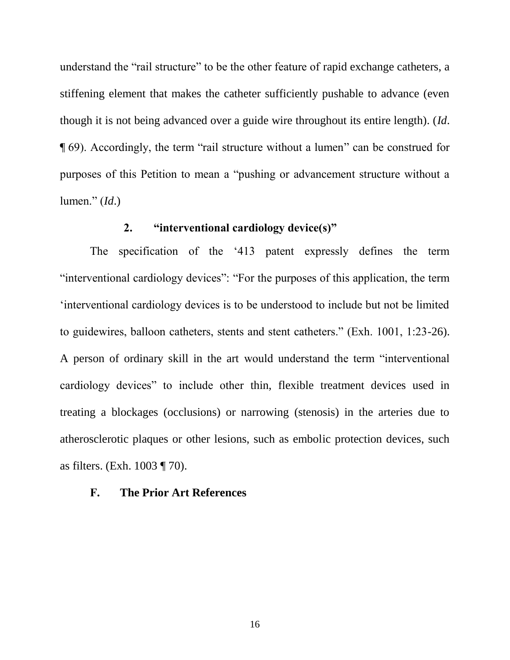understand the "rail structure" to be the other feature of rapid exchange catheters, a stiffening element that makes the catheter sufficiently pushable to advance (even though it is not being advanced over a guide wire throughout its entire length). (*Id*. ¶ 69). Accordingly, the term "rail structure without a lumen" can be construed for purposes of this Petition to mean a "pushing or advancement structure without a lumen." (*Id*.)

#### **2. "interventional cardiology device(s)"**

<span id="page-16-0"></span>The specification of the '413 patent expressly defines the term "interventional cardiology devices": "For the purposes of this application, the term 'interventional cardiology devices is to be understood to include but not be limited to guidewires, balloon catheters, stents and stent catheters." (Exh. 1001, 1:23-26). A person of ordinary skill in the art would understand the term "interventional cardiology devices" to include other thin, flexible treatment devices used in treating a blockages (occlusions) or narrowing (stenosis) in the arteries due to atherosclerotic plaques or other lesions, such as embolic protection devices, such as filters. (Exh. 1003 ¶ 70).

### <span id="page-16-1"></span>**F. The Prior Art References**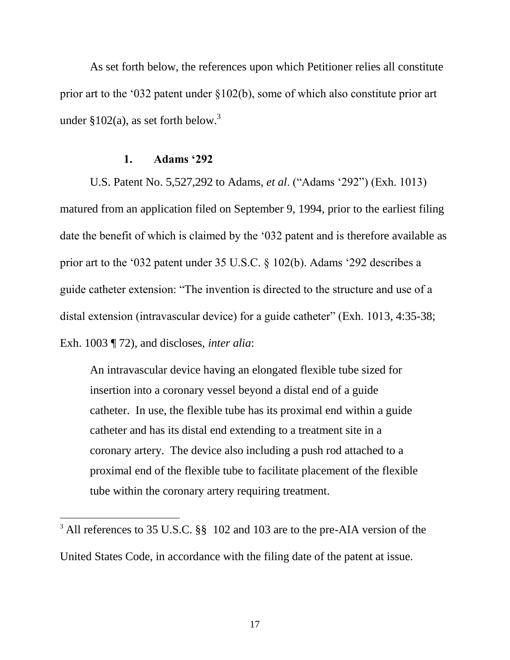As set forth below, the references upon which Petitioner relies all constitute prior art to the '032 patent under §102(b), some of which also constitute prior art under  $$102(a)$ , as set forth below.<sup>3</sup>

#### **1. Adams '292**

 $\overline{a}$ 

<span id="page-17-0"></span>U.S. Patent No. 5,527,292 to Adams, *et al*. ("Adams '292") (Exh. 1013) matured from an application filed on September 9, 1994, prior to the earliest filing date the benefit of which is claimed by the '032 patent and is therefore available as prior art to the '032 patent under 35 U.S.C. § 102(b). Adams '292 describes a guide catheter extension: "The invention is directed to the structure and use of a distal extension (intravascular device) for a guide catheter" (Exh. 1013, 4:35-38; Exh. 1003 ¶ 72), and discloses, *inter alia*:

An intravascular device having an elongated flexible tube sized for insertion into a coronary vessel beyond a distal end of a guide catheter. In use, the flexible tube has its proximal end within a guide catheter and has its distal end extending to a treatment site in a coronary artery. The device also including a push rod attached to a proximal end of the flexible tube to facilitate placement of the flexible tube within the coronary artery requiring treatment.

<sup>&</sup>lt;sup>3</sup> All references to 35 U.S.C. §§ 102 and 103 are to the pre-AIA version of the United States Code, in accordance with the filing date of the patent at issue.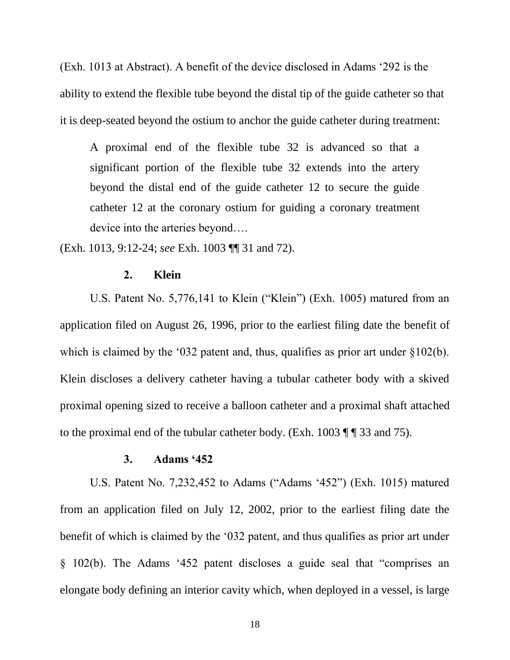(Exh. 1013 at Abstract). A benefit of the device disclosed in Adams '292 is the ability to extend the flexible tube beyond the distal tip of the guide catheter so that it is deep-seated beyond the ostium to anchor the guide catheter during treatment:

A proximal end of the flexible tube 32 is advanced so that a significant portion of the flexible tube 32 extends into the artery beyond the distal end of the guide catheter 12 to secure the guide catheter 12 at the coronary ostium for guiding a coronary treatment device into the arteries beyond….

<span id="page-18-0"></span>(Exh. 1013*,* 9:12-24; *see* Exh. 1003 ¶¶ 31 and 72).

#### **2. Klein**

U.S. Patent No. 5,776,141 to Klein ("Klein") (Exh. 1005) matured from an application filed on August 26, 1996, prior to the earliest filing date the benefit of which is claimed by the '032 patent and, thus, qualifies as prior art under §102(b). Klein discloses a delivery catheter having a tubular catheter body with a skived proximal opening sized to receive a balloon catheter and a proximal shaft attached to the proximal end of the tubular catheter body. (Exh.  $1003 \text{ T}$   $\text{T}$  33 and 75).

#### **3. Adams '452**

<span id="page-18-1"></span>U.S. Patent No. 7,232,452 to Adams ("Adams '452") (Exh. 1015) matured from an application filed on July 12, 2002, prior to the earliest filing date the benefit of which is claimed by the '032 patent, and thus qualifies as prior art under § 102(b). The Adams '452 patent discloses a guide seal that "comprises an elongate body defining an interior cavity which, when deployed in a vessel, is large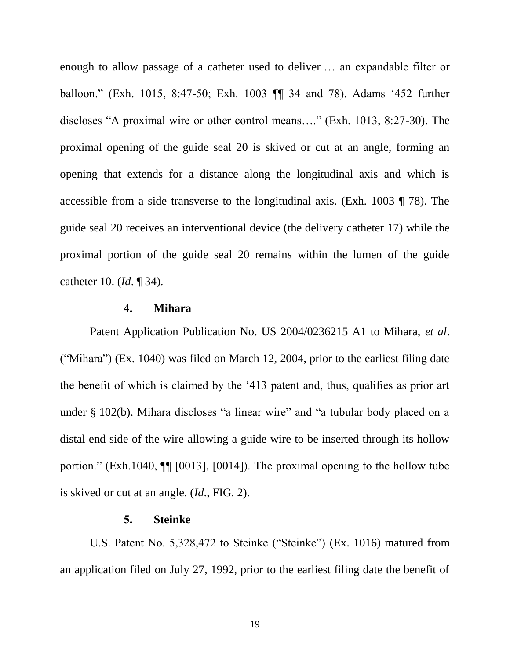enough to allow passage of a catheter used to deliver … an expandable filter or balloon." (Exh. 1015, 8:47-50; Exh. 1003 ¶¶ 34 and 78). Adams '452 further discloses "A proximal wire or other control means…." (Exh. 1013, 8:27-30). The proximal opening of the guide seal 20 is skived or cut at an angle, forming an opening that extends for a distance along the longitudinal axis and which is accessible from a side transverse to the longitudinal axis. (Exh. 1003 ¶ 78). The guide seal 20 receives an interventional device (the delivery catheter 17) while the proximal portion of the guide seal 20 remains within the lumen of the guide catheter 10. (*Id*. ¶ 34).

#### **4. Mihara**

<span id="page-19-0"></span>Patent Application Publication No. US 2004/0236215 A1 to Mihara, *et al*. ("Mihara") (Ex. 1040) was filed on March 12, 2004, prior to the earliest filing date the benefit of which is claimed by the '413 patent and, thus, qualifies as prior art under § 102(b). Mihara discloses "a linear wire" and "a tubular body placed on a distal end side of the wire allowing a guide wire to be inserted through its hollow portion." (Exh.1040, ¶¶ [0013], [0014]). The proximal opening to the hollow tube is skived or cut at an angle. (*Id*., FIG. 2).

#### **5. Steinke**

<span id="page-19-1"></span>U.S. Patent No. 5,328,472 to Steinke ("Steinke") (Ex. 1016) matured from an application filed on July 27, 1992, prior to the earliest filing date the benefit of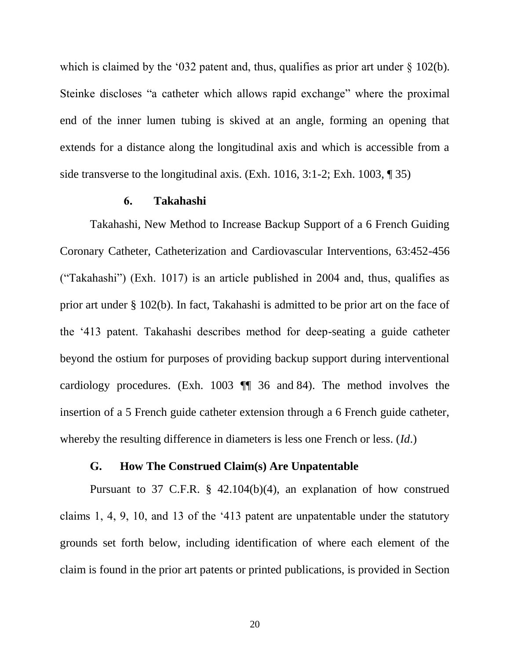which is claimed by the '032 patent and, thus, qualifies as prior art under  $\S$  102(b). Steinke discloses "a catheter which allows rapid exchange" where the proximal end of the inner lumen tubing is skived at an angle, forming an opening that extends for a distance along the longitudinal axis and which is accessible from a side transverse to the longitudinal axis. (Exh. 1016, 3:1-2; Exh. 1003, ¶ 35)

#### **6. Takahashi**

<span id="page-20-0"></span>Takahashi, New Method to Increase Backup Support of a 6 French Guiding Coronary Catheter, Catheterization and Cardiovascular Interventions, 63:452-456 ("Takahashi") (Exh. 1017) is an article published in 2004 and, thus, qualifies as prior art under § 102(b). In fact, Takahashi is admitted to be prior art on the face of the '413 patent. Takahashi describes method for deep-seating a guide catheter beyond the ostium for purposes of providing backup support during interventional cardiology procedures. (Exh. 1003 ¶¶ 36 and 84). The method involves the insertion of a 5 French guide catheter extension through a 6 French guide catheter, whereby the resulting difference in diameters is less one French or less. (*Id*.)

### **G. How The Construed Claim(s) Are Unpatentable**

<span id="page-20-1"></span>Pursuant to 37 C.F.R. § 42.104(b)(4), an explanation of how construed claims 1, 4, 9, 10, and 13 of the '413 patent are unpatentable under the statutory grounds set forth below, including identification of where each element of the claim is found in the prior art patents or printed publications, is provided in Section

20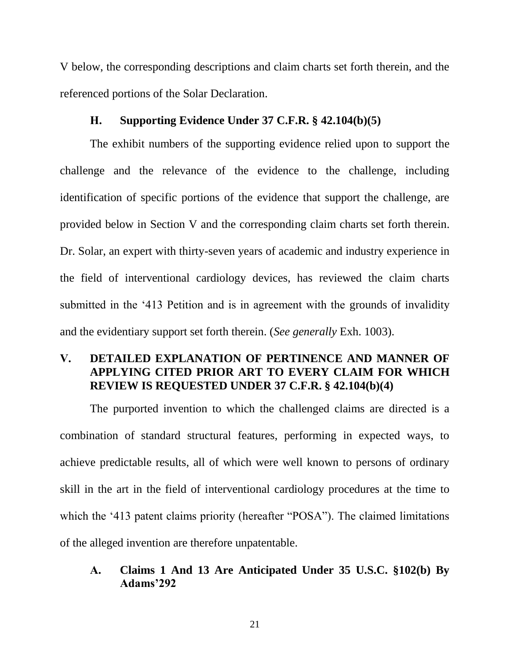V below, the corresponding descriptions and claim charts set forth therein, and the referenced portions of the Solar Declaration.

#### **H. Supporting Evidence Under 37 C.F.R. § 42.104(b)(5)**

<span id="page-21-0"></span>The exhibit numbers of the supporting evidence relied upon to support the challenge and the relevance of the evidence to the challenge, including identification of specific portions of the evidence that support the challenge, are provided below in Section V and the corresponding claim charts set forth therein. Dr. Solar, an expert with thirty-seven years of academic and industry experience in the field of interventional cardiology devices, has reviewed the claim charts submitted in the '413 Petition and is in agreement with the grounds of invalidity and the evidentiary support set forth therein. (*See generally* Exh. 1003).

# <span id="page-21-1"></span>**V. DETAILED EXPLANATION OF PERTINENCE AND MANNER OF APPLYING CITED PRIOR ART TO EVERY CLAIM FOR WHICH REVIEW IS REQUESTED UNDER 37 C.F.R. § 42.104(b)(4)**

The purported invention to which the challenged claims are directed is a combination of standard structural features, performing in expected ways, to achieve predictable results, all of which were well known to persons of ordinary skill in the art in the field of interventional cardiology procedures at the time to which the '413 patent claims priority (hereafter "POSA"). The claimed limitations of the alleged invention are therefore unpatentable.

# <span id="page-21-2"></span>**A. Claims 1 And 13 Are Anticipated Under 35 U.S.C. §102(b) By Adams'292**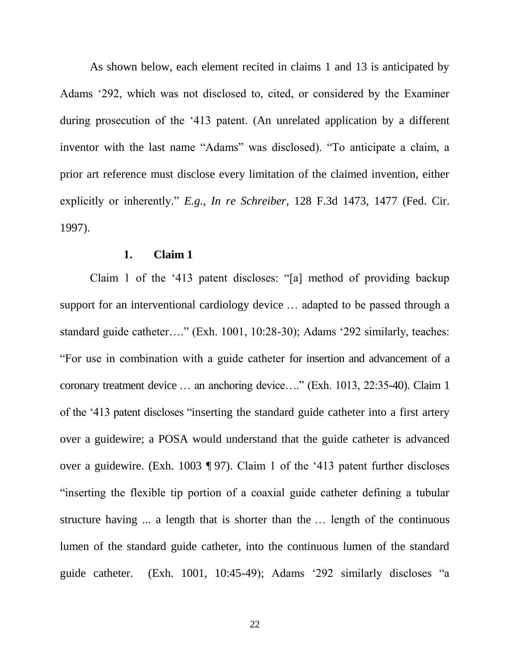As shown below, each element recited in claims 1 and 13 is anticipated by Adams '292, which was not disclosed to, cited, or considered by the Examiner during prosecution of the '413 patent. (An unrelated application by a different inventor with the last name "Adams" was disclosed). "To anticipate a claim, a prior art reference must disclose every limitation of the claimed invention, either explicitly or inherently." *E.g.*, *In re Schreiber*, 128 F.3d 1473, 1477 (Fed. Cir. 1997).

### **1. Claim 1**

<span id="page-22-0"></span>Claim 1 of the '413 patent discloses: "[a] method of providing backup support for an interventional cardiology device … adapted to be passed through a standard guide catheter…." (Exh. 1001, 10:28-30); Adams '292 similarly, teaches: "For use in combination with a guide catheter for insertion and advancement of a coronary treatment device … an anchoring device…." (Exh. 1013, 22:35-40). Claim 1 of the '413 patent discloses "inserting the standard guide catheter into a first artery over a guidewire; a POSA would understand that the guide catheter is advanced over a guidewire. (Exh. 1003 ¶ 97). Claim 1 of the '413 patent further discloses "inserting the flexible tip portion of a coaxial guide catheter defining a tubular structure having ... a length that is shorter than the … length of the continuous lumen of the standard guide catheter, into the continuous lumen of the standard guide catheter. (Exh. 1001, 10:45-49); Adams '292 similarly discloses "a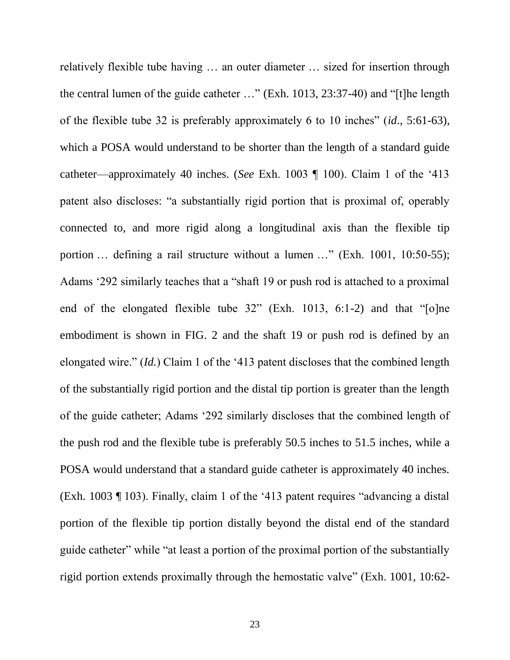relatively flexible tube having … an outer diameter … sized for insertion through the central lumen of the guide catheter …" (Exh. 1013, 23:37-40) and "[t]he length of the flexible tube 32 is preferably approximately 6 to 10 inches" (*id*., 5:61-63), which a POSA would understand to be shorter than the length of a standard guide catheter—approximately 40 inches. (*See* Exh. 1003 ¶ 100). Claim 1 of the '413 patent also discloses: "a substantially rigid portion that is proximal of, operably connected to, and more rigid along a longitudinal axis than the flexible tip portion ... defining a rail structure without a lumen ..." (Exh. 1001, 10:50-55); Adams '292 similarly teaches that a "shaft 19 or push rod is attached to a proximal end of the elongated flexible tube 32" (Exh. 1013, 6:1-2) and that "[o]ne embodiment is shown in FIG. 2 and the shaft 19 or push rod is defined by an elongated wire." (*Id.*) Claim 1 of the '413 patent discloses that the combined length of the substantially rigid portion and the distal tip portion is greater than the length of the guide catheter; Adams '292 similarly discloses that the combined length of the push rod and the flexible tube is preferably 50.5 inches to 51.5 inches, while a POSA would understand that a standard guide catheter is approximately 40 inches. (Exh. 1003 ¶ 103). Finally, claim 1 of the '413 patent requires "advancing a distal portion of the flexible tip portion distally beyond the distal end of the standard guide catheter" while "at least a portion of the proximal portion of the substantially rigid portion extends proximally through the hemostatic valve" (Exh. 1001, 10:62-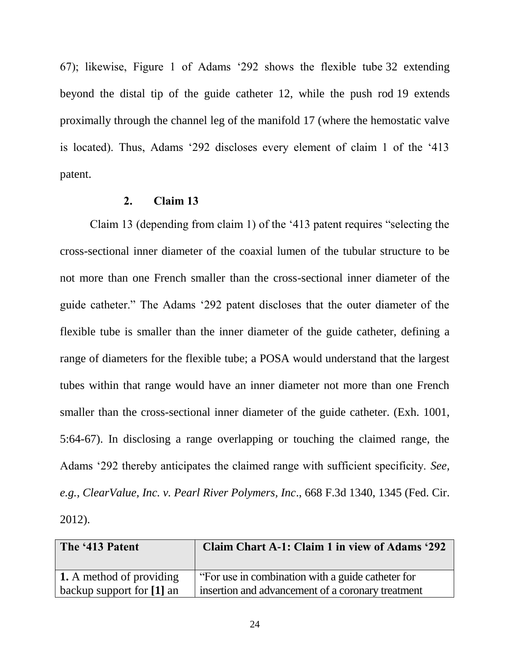67); likewise, Figure 1 of Adams '292 shows the flexible tube 32 extending beyond the distal tip of the guide catheter 12, while the push rod 19 extends proximally through the channel leg of the manifold 17 (where the hemostatic valve is located). Thus, Adams '292 discloses every element of claim 1 of the '413 patent.

### **2. Claim 13**

<span id="page-24-0"></span>Claim 13 (depending from claim 1) of the '413 patent requires "selecting the cross-sectional inner diameter of the coaxial lumen of the tubular structure to be not more than one French smaller than the cross-sectional inner diameter of the guide catheter." The Adams '292 patent discloses that the outer diameter of the flexible tube is smaller than the inner diameter of the guide catheter, defining a range of diameters for the flexible tube; a POSA would understand that the largest tubes within that range would have an inner diameter not more than one French smaller than the cross-sectional inner diameter of the guide catheter. (Exh. 1001, 5:64-67). In disclosing a range overlapping or touching the claimed range, the Adams '292 thereby anticipates the claimed range with sufficient specificity. *See, e.g., ClearValue, Inc. v. Pearl River Polymers, Inc*., 668 F.3d 1340, 1345 (Fed. Cir. 2012).

| The '413 Patent                 | Claim Chart A-1: Claim 1 in view of Adams '292    |
|---------------------------------|---------------------------------------------------|
| <b>1.</b> A method of providing | "For use in combination with a guide catheter for |
| backup support for [1] an       | insertion and advancement of a coronary treatment |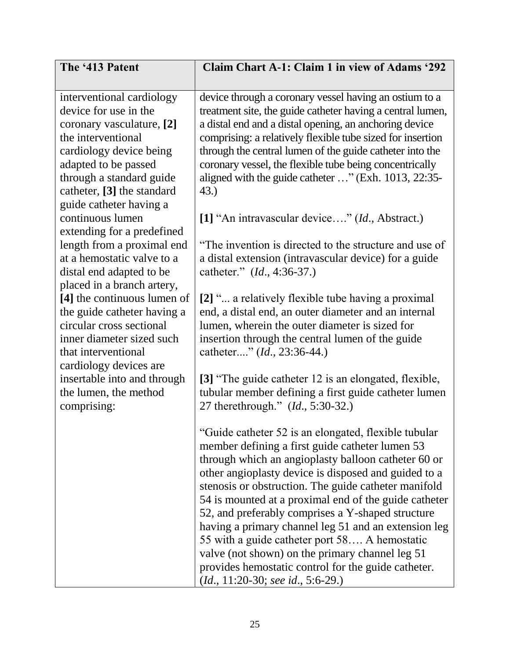| The '413 Patent                                         | <b>Claim Chart A-1: Claim 1 in view of Adams '292</b>                                                      |
|---------------------------------------------------------|------------------------------------------------------------------------------------------------------------|
|                                                         |                                                                                                            |
| interventional cardiology                               | device through a coronary vessel having an ostium to a                                                     |
| device for use in the                                   | treatment site, the guide catheter having a central lumen,                                                 |
| coronary vasculature, [2]                               | a distal end and a distal opening, an anchoring device                                                     |
| the interventional                                      | comprising: a relatively flexible tube sized for insertion                                                 |
| cardiology device being                                 | through the central lumen of the guide catheter into the                                                   |
| adapted to be passed                                    | coronary vessel, the flexible tube being concentrically                                                    |
| through a standard guide                                | aligned with the guide catheter " (Exh. 1013, 22:35-                                                       |
| catheter, [3] the standard                              | 43.)                                                                                                       |
| guide catheter having a                                 |                                                                                                            |
| continuous lumen                                        | [1] "An intravascular device" (Id., Abstract.)                                                             |
| extending for a predefined                              |                                                                                                            |
| length from a proximal end                              | "The invention is directed to the structure and use of                                                     |
| at a hemostatic valve to a                              | a distal extension (intravascular device) for a guide                                                      |
| distal end adapted to be                                | catheter." (Id., 4:36-37.)                                                                                 |
| placed in a branch artery,                              |                                                                                                            |
| [4] the continuous lumen of                             | [2] " a relatively flexible tube having a proximal<br>end, a distal end, an outer diameter and an internal |
| the guide catheter having a<br>circular cross sectional | lumen, wherein the outer diameter is sized for                                                             |
| inner diameter sized such                               | insertion through the central lumen of the guide                                                           |
| that interventional                                     | catheter" ( <i>Id.</i> , 23:36-44.)                                                                        |
| cardiology devices are                                  |                                                                                                            |
| insertable into and through                             | [3] "The guide catheter 12 is an elongated, flexible,                                                      |
| the lumen, the method                                   | tubular member defining a first guide catheter lumen                                                       |
| comprising:                                             | 27 therethrough." ( <i>Id.</i> , 5:30-32.)                                                                 |
|                                                         |                                                                                                            |
|                                                         | "Guide catheter 52 is an elongated, flexible tubular                                                       |
|                                                         | member defining a first guide catheter lumen 53                                                            |
|                                                         | through which an angioplasty balloon catheter 60 or                                                        |
|                                                         | other angioplasty device is disposed and guided to a                                                       |
|                                                         | stenosis or obstruction. The guide catheter manifold                                                       |
|                                                         | 54 is mounted at a proximal end of the guide catheter                                                      |
|                                                         | 52, and preferably comprises a Y-shaped structure                                                          |
|                                                         | having a primary channel leg 51 and an extension leg                                                       |
|                                                         | 55 with a guide catheter port 58 A hemostatic                                                              |
|                                                         | valve (not shown) on the primary channel leg 51                                                            |
|                                                         | provides hemostatic control for the guide catheter.                                                        |
|                                                         | $(Id., 11:20-30; see id., 5:6-29.)$                                                                        |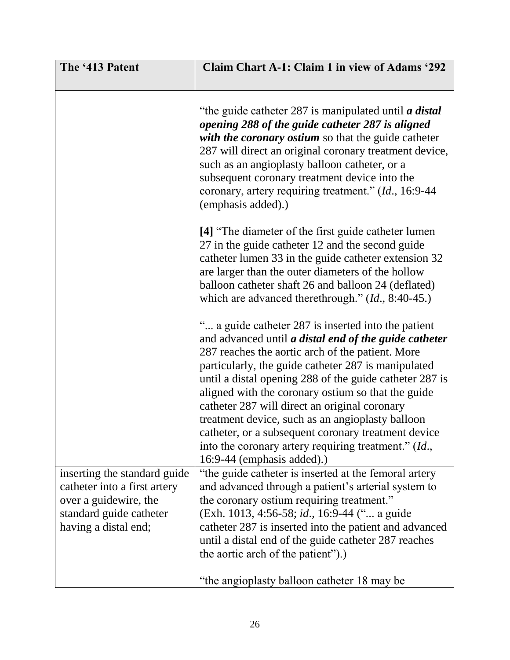| The '413 Patent                                                                                                                          | <b>Claim Chart A-1: Claim 1 in view of Adams '292</b>                                                                                                                                                                                                                                                                                                                                                                                                                                                                                                                                                 |
|------------------------------------------------------------------------------------------------------------------------------------------|-------------------------------------------------------------------------------------------------------------------------------------------------------------------------------------------------------------------------------------------------------------------------------------------------------------------------------------------------------------------------------------------------------------------------------------------------------------------------------------------------------------------------------------------------------------------------------------------------------|
|                                                                                                                                          | "the guide catheter 287 is manipulated until <i>a distal</i><br>opening 288 of the guide catheter 287 is aligned<br>with the coronary ostium so that the guide catheter<br>287 will direct an original coronary treatment device,<br>such as an angioplasty balloon catheter, or a<br>subsequent coronary treatment device into the<br>coronary, artery requiring treatment." (Id., 16:9-44<br>(emphasis added).)                                                                                                                                                                                     |
|                                                                                                                                          | [4] "The diameter of the first guide catheter lumen<br>27 in the guide catheter 12 and the second guide<br>catheter lumen 33 in the guide catheter extension 32<br>are larger than the outer diameters of the hollow<br>balloon catheter shaft 26 and balloon 24 (deflated)<br>which are advanced therethrough." (Id., 8:40-45.)                                                                                                                                                                                                                                                                      |
|                                                                                                                                          | " a guide catheter 287 is inserted into the patient<br>and advanced until <i>a distal end of the guide catheter</i><br>287 reaches the aortic arch of the patient. More<br>particularly, the guide catheter 287 is manipulated<br>until a distal opening 288 of the guide catheter 287 is<br>aligned with the coronary ostium so that the guide<br>catheter 287 will direct an original coronary<br>treatment device, such as an angioplasty balloon<br>catheter, or a subsequent coronary treatment device<br>into the coronary artery requiring treatment." $(Id.,$<br>$16:9-44$ (emphasis added).) |
| inserting the standard guide<br>catheter into a first artery<br>over a guidewire, the<br>standard guide catheter<br>having a distal end; | "the guide catheter is inserted at the femoral artery<br>and advanced through a patient's arterial system to<br>the coronary ostium requiring treatment."<br>(Exh. 1013, 4:56-58; id., 16:9-44 (" a guide<br>catheter 287 is inserted into the patient and advanced<br>until a distal end of the guide catheter 287 reaches<br>the aortic arch of the patient").)                                                                                                                                                                                                                                     |
|                                                                                                                                          | "the angioplasty balloon catheter 18 may be                                                                                                                                                                                                                                                                                                                                                                                                                                                                                                                                                           |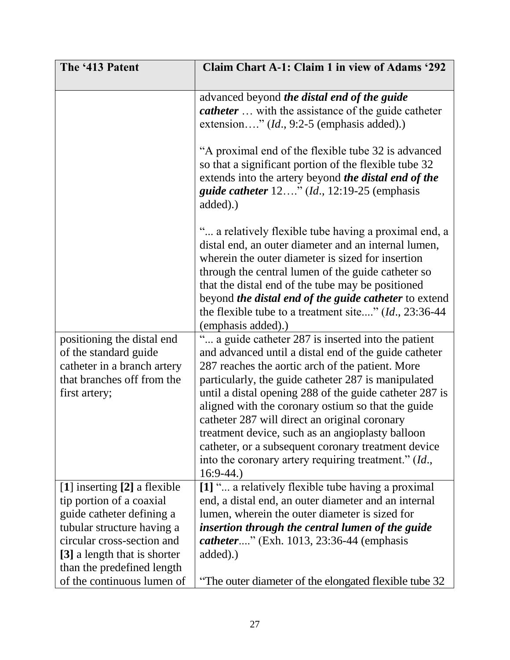| The '413 Patent                                         | <b>Claim Chart A-1: Claim 1 in view of Adams '292</b>                                                                                                                                                                                                                                                                                                                                                                          |
|---------------------------------------------------------|--------------------------------------------------------------------------------------------------------------------------------------------------------------------------------------------------------------------------------------------------------------------------------------------------------------------------------------------------------------------------------------------------------------------------------|
|                                                         | advanced beyond the distal end of the guide<br><i>catheter</i> with the assistance of the guide catheter<br>extension" $(Id., 9:2-5$ (emphasis added).)                                                                                                                                                                                                                                                                        |
|                                                         | "A proximal end of the flexible tube 32 is advanced<br>so that a significant portion of the flexible tube 32<br>extends into the artery beyond the distal end of the<br><i>guide catheter</i> $12$ " ( <i>Id.</i> , $12:19-25$ (emphasis<br>added).                                                                                                                                                                            |
|                                                         | " a relatively flexible tube having a proximal end, a<br>distal end, an outer diameter and an internal lumen,<br>wherein the outer diameter is sized for insertion<br>through the central lumen of the guide catheter so<br>that the distal end of the tube may be positioned<br>beyond <i>the distal end of the guide catheter</i> to extend<br>the flexible tube to a treatment site" $(Id., 23:36-44$<br>(emphasis added).) |
| positioning the distal end                              | " a guide catheter 287 is inserted into the patient                                                                                                                                                                                                                                                                                                                                                                            |
| of the standard guide<br>catheter in a branch artery    | and advanced until a distal end of the guide catheter<br>287 reaches the aortic arch of the patient. More                                                                                                                                                                                                                                                                                                                      |
| that branches off from the                              | particularly, the guide catheter 287 is manipulated                                                                                                                                                                                                                                                                                                                                                                            |
| first artery;                                           | until a distal opening 288 of the guide catheter 287 is                                                                                                                                                                                                                                                                                                                                                                        |
|                                                         | aligned with the coronary ostium so that the guide<br>catheter 287 will direct an original coronary                                                                                                                                                                                                                                                                                                                            |
|                                                         | treatment device, such as an angioplasty balloon                                                                                                                                                                                                                                                                                                                                                                               |
|                                                         | catheter, or a subsequent coronary treatment device                                                                                                                                                                                                                                                                                                                                                                            |
|                                                         | into the coronary artery requiring treatment." (Id.,                                                                                                                                                                                                                                                                                                                                                                           |
|                                                         | $16:9-44.$                                                                                                                                                                                                                                                                                                                                                                                                                     |
| [1] inserting [2] a flexible                            | [1] " a relatively flexible tube having a proximal                                                                                                                                                                                                                                                                                                                                                                             |
| tip portion of a coaxial                                | end, a distal end, an outer diameter and an internal<br>lumen, wherein the outer diameter is sized for                                                                                                                                                                                                                                                                                                                         |
| guide catheter defining a<br>tubular structure having a | insertion through the central lumen of the guide                                                                                                                                                                                                                                                                                                                                                                               |
| circular cross-section and                              | <i>catheter</i> " (Exh. 1013, 23:36-44 (emphasis)                                                                                                                                                                                                                                                                                                                                                                              |
| [3] a length that is shorter                            | added).)                                                                                                                                                                                                                                                                                                                                                                                                                       |
| than the predefined length                              |                                                                                                                                                                                                                                                                                                                                                                                                                                |
| of the continuous lumen of                              | The outer diameter of the elongated flexible tube 32                                                                                                                                                                                                                                                                                                                                                                           |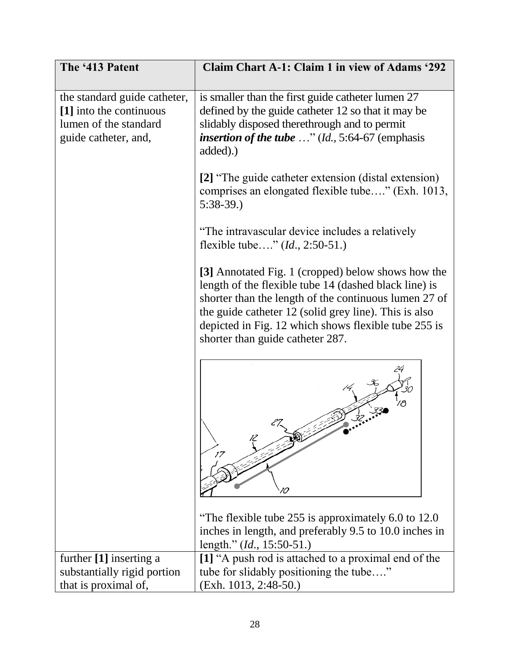| The '413 Patent                                                                                          | <b>Claim Chart A-1: Claim 1 in view of Adams '292</b>                                                                                                                                                                                                                                                                     |
|----------------------------------------------------------------------------------------------------------|---------------------------------------------------------------------------------------------------------------------------------------------------------------------------------------------------------------------------------------------------------------------------------------------------------------------------|
| the standard guide catheter,<br>[1] into the continuous<br>lumen of the standard<br>guide catheter, and, | is smaller than the first guide catheter lumen 27<br>defined by the guide catheter 12 so that it may be<br>slidably disposed therethrough and to permit<br><i>insertion of the tube</i> $\ldots$ " ( <i>Id.</i> , 5:64-67 (emphasis<br>added).)                                                                           |
|                                                                                                          | [2] "The guide catheter extension (distal extension)<br>comprises an elongated flexible tube" (Exh. 1013,<br>$5:38-39.$                                                                                                                                                                                                   |
|                                                                                                          | "The intravascular device includes a relatively<br>flexible tube" $(Id., 2:50-51.)$                                                                                                                                                                                                                                       |
|                                                                                                          | [3] Annotated Fig. 1 (cropped) below shows how the<br>length of the flexible tube 14 (dashed black line) is<br>shorter than the length of the continuous lumen 27 of<br>the guide catheter 12 (solid grey line). This is also<br>depicted in Fig. 12 which shows flexible tube 255 is<br>shorter than guide catheter 287. |
|                                                                                                          | 17<br>10                                                                                                                                                                                                                                                                                                                  |
|                                                                                                          | "The flexible tube 255 is approximately 6.0 to 12.0"<br>inches in length, and preferably 9.5 to 10.0 inches in<br>length." (Id., 15:50-51.)                                                                                                                                                                               |
| further [1] inserting a                                                                                  | [1] "A push rod is attached to a proximal end of the                                                                                                                                                                                                                                                                      |
| substantially rigid portion                                                                              | tube for slidably positioning the tube"                                                                                                                                                                                                                                                                                   |
| that is proximal of,                                                                                     | (Exh. 1013, 2:48-50.)                                                                                                                                                                                                                                                                                                     |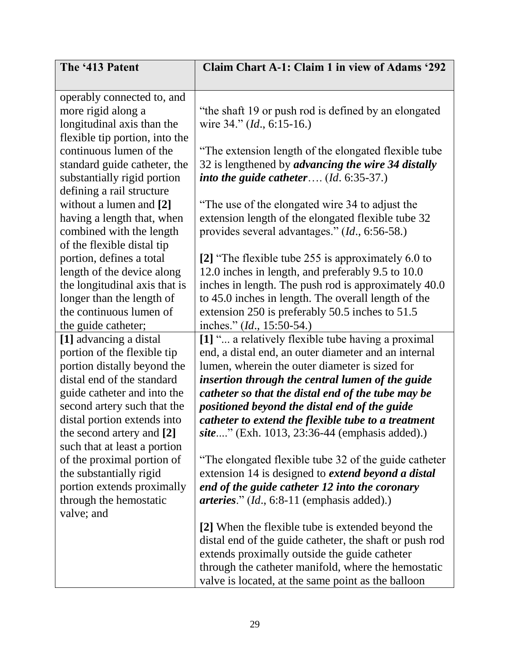| The '413 Patent                | Claim Chart A-1: Claim 1 in view of Adams '292              |
|--------------------------------|-------------------------------------------------------------|
|                                |                                                             |
| operably connected to, and     |                                                             |
| more rigid along a             | "the shaft 19 or push rod is defined by an elongated        |
| longitudinal axis than the     | wire 34." ( <i>Id.</i> , 6:15-16.)                          |
| flexible tip portion, into the |                                                             |
| continuous lumen of the        | "The extension length of the elongated flexible tube        |
| standard guide catheter, the   | 32 is lengthened by advancing the wire 34 distally          |
| substantially rigid portion    | into the guide catheter $(Id. 6:35-37.)$                    |
| defining a rail structure      |                                                             |
| without a lumen and [2]        | The use of the elongated wire 34 to adjust the              |
| having a length that, when     | extension length of the elongated flexible tube 32          |
| combined with the length       | provides several advantages." (Id., 6:56-58.)               |
| of the flexible distal tip     |                                                             |
| portion, defines a total       | [2] "The flexible tube 255 is approximately 6.0 to          |
| length of the device along     | 12.0 inches in length, and preferably 9.5 to 10.0           |
| the longitudinal axis that is  | inches in length. The push rod is approximately 40.0        |
| longer than the length of      | to 45.0 inches in length. The overall length of the         |
| the continuous lumen of        | extension 250 is preferably 50.5 inches to 51.5             |
| the guide catheter;            | inches." ( <i>Id.</i> , 15:50-54.)                          |
| [1] advancing a distal         | [1] " a relatively flexible tube having a proximal          |
| portion of the flexible tip    | end, a distal end, an outer diameter and an internal        |
| portion distally beyond the    | lumen, wherein the outer diameter is sized for              |
| distal end of the standard     | insertion through the central lumen of the guide            |
| guide catheter and into the    | catheter so that the distal end of the tube may be          |
| second artery such that the    | positioned beyond the distal end of the guide               |
| distal portion extends into    | catheter to extend the flexible tube to a treatment         |
| the second artery and [2]      | <i>site</i> " (Exh. 1013, 23:36-44 (emphasis added).)       |
| such that at least a portion   |                                                             |
| of the proximal portion of     | "The elongated flexible tube 32 of the guide catheter"      |
| the substantially rigid        | extension 14 is designed to <i>extend beyond a distal</i>   |
| portion extends proximally     | end of the guide catheter 12 into the coronary              |
| through the hemostatic         | <i>arteries.</i> " ( <i>Id.</i> , 6:8-11 (emphasis added).) |
| valve; and                     |                                                             |
|                                | [2] When the flexible tube is extended beyond the           |
|                                | distal end of the guide catheter, the shaft or push rod     |
|                                | extends proximally outside the guide catheter               |
|                                | through the catheter manifold, where the hemostatic         |
|                                | valve is located, at the same point as the balloon          |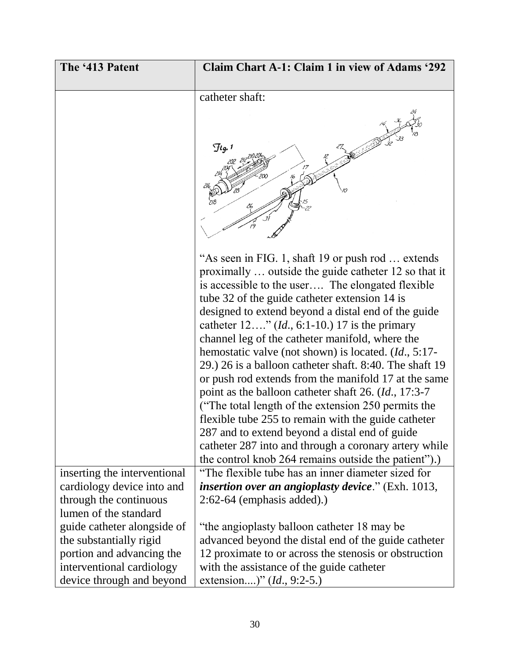| <b>Claim Chart A-1: Claim 1 in view of Adams '292</b>                                                                                                                                                                                                                                                                                                                                                                                                                                                                                                                                                                                                                                                                                                                                                                                                                                                                       |
|-----------------------------------------------------------------------------------------------------------------------------------------------------------------------------------------------------------------------------------------------------------------------------------------------------------------------------------------------------------------------------------------------------------------------------------------------------------------------------------------------------------------------------------------------------------------------------------------------------------------------------------------------------------------------------------------------------------------------------------------------------------------------------------------------------------------------------------------------------------------------------------------------------------------------------|
|                                                                                                                                                                                                                                                                                                                                                                                                                                                                                                                                                                                                                                                                                                                                                                                                                                                                                                                             |
| catheter shaft:                                                                                                                                                                                                                                                                                                                                                                                                                                                                                                                                                                                                                                                                                                                                                                                                                                                                                                             |
| $\mathcal{F}$ lg. 1                                                                                                                                                                                                                                                                                                                                                                                                                                                                                                                                                                                                                                                                                                                                                                                                                                                                                                         |
|                                                                                                                                                                                                                                                                                                                                                                                                                                                                                                                                                                                                                                                                                                                                                                                                                                                                                                                             |
| "As seen in FIG. 1, shaft 19 or push rod  extends<br>proximally  outside the guide catheter 12 so that it<br>is accessible to the user The elongated flexible<br>tube 32 of the guide catheter extension 14 is<br>designed to extend beyond a distal end of the guide<br>catheter $12$ " ( <i>Id.</i> , 6:1-10.) 17 is the primary<br>channel leg of the catheter manifold, where the<br>hemostatic valve (not shown) is located. ( <i>Id.</i> , 5:17-<br>29.) 26 is a balloon catheter shaft. 8:40. The shaft 19<br>or push rod extends from the manifold 17 at the same<br>point as the balloon catheter shaft 26. ( <i>Id.</i> , 17:3-7<br>("The total length of the extension 250 permits the<br>flexible tube 255 to remain with the guide catheter<br>287 and to extend beyond a distal end of guide<br>catheter 287 into and through a coronary artery while<br>the control knob 264 remains outside the patient").) |
| "The flexible tube has an inner diameter sized for                                                                                                                                                                                                                                                                                                                                                                                                                                                                                                                                                                                                                                                                                                                                                                                                                                                                          |
| <i>insertion over an angioplasty device.</i> " (Exh. 1013,                                                                                                                                                                                                                                                                                                                                                                                                                                                                                                                                                                                                                                                                                                                                                                                                                                                                  |
| $2:62-64$ (emphasis added).)                                                                                                                                                                                                                                                                                                                                                                                                                                                                                                                                                                                                                                                                                                                                                                                                                                                                                                |
|                                                                                                                                                                                                                                                                                                                                                                                                                                                                                                                                                                                                                                                                                                                                                                                                                                                                                                                             |
| "the angioplasty balloon catheter 18 may be                                                                                                                                                                                                                                                                                                                                                                                                                                                                                                                                                                                                                                                                                                                                                                                                                                                                                 |
| advanced beyond the distal end of the guide catheter                                                                                                                                                                                                                                                                                                                                                                                                                                                                                                                                                                                                                                                                                                                                                                                                                                                                        |
| 12 proximate to or across the stenosis or obstruction                                                                                                                                                                                                                                                                                                                                                                                                                                                                                                                                                                                                                                                                                                                                                                                                                                                                       |
| with the assistance of the guide catheter<br>extension)" $(Id., 9:2-5.)$                                                                                                                                                                                                                                                                                                                                                                                                                                                                                                                                                                                                                                                                                                                                                                                                                                                    |
|                                                                                                                                                                                                                                                                                                                                                                                                                                                                                                                                                                                                                                                                                                                                                                                                                                                                                                                             |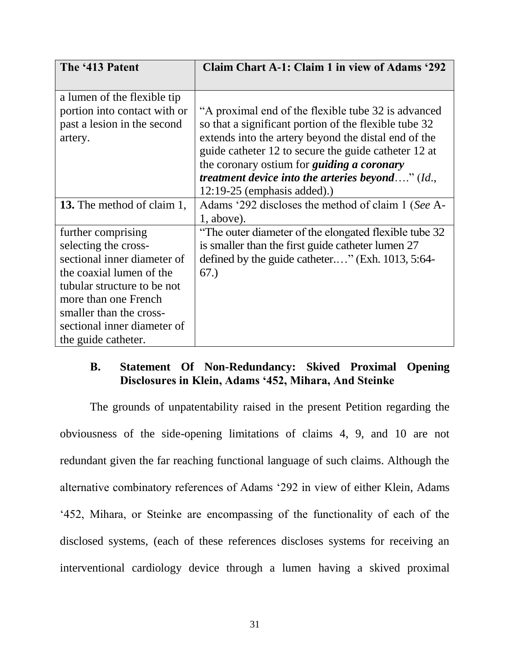| The '413 Patent                   | <b>Claim Chart A-1: Claim 1 in view of Adams '292</b> |
|-----------------------------------|-------------------------------------------------------|
|                                   |                                                       |
| a lumen of the flexible tip       |                                                       |
| portion into contact with or      | "A proximal end of the flexible tube 32 is advanced   |
| past a lesion in the second       | so that a significant portion of the flexible tube 32 |
| artery.                           | extends into the artery beyond the distal end of the  |
|                                   | guide catheter 12 to secure the guide catheter 12 at  |
|                                   | the coronary ostium for <i>guiding a coronary</i>     |
|                                   | treatment device into the arteries beyond" (Id.,      |
|                                   | $12:19-25$ (emphasis added).)                         |
| <b>13.</b> The method of claim 1, | Adams '292 discloses the method of claim 1 (See A-    |
|                                   | $1$ , above).                                         |
| further comprising                | The outer diameter of the elongated flexible tube 32  |
| selecting the cross-              | is smaller than the first guide catheter lumen 27     |
| sectional inner diameter of       | defined by the guide catheter" (Exh. 1013, 5:64-      |
| the coaxial lumen of the          | 67.)                                                  |
| tubular structure to be not       |                                                       |
| more than one French              |                                                       |
| smaller than the cross-           |                                                       |
| sectional inner diameter of       |                                                       |
| the guide catheter.               |                                                       |

# <span id="page-31-0"></span>**B. Statement Of Non-Redundancy: Skived Proximal Opening Disclosures in Klein, Adams '452, Mihara, And Steinke**

The grounds of unpatentability raised in the present Petition regarding the obviousness of the side-opening limitations of claims 4, 9, and 10 are not redundant given the far reaching functional language of such claims. Although the alternative combinatory references of Adams '292 in view of either Klein, Adams '452, Mihara, or Steinke are encompassing of the functionality of each of the disclosed systems, (each of these references discloses systems for receiving an interventional cardiology device through a lumen having a skived proximal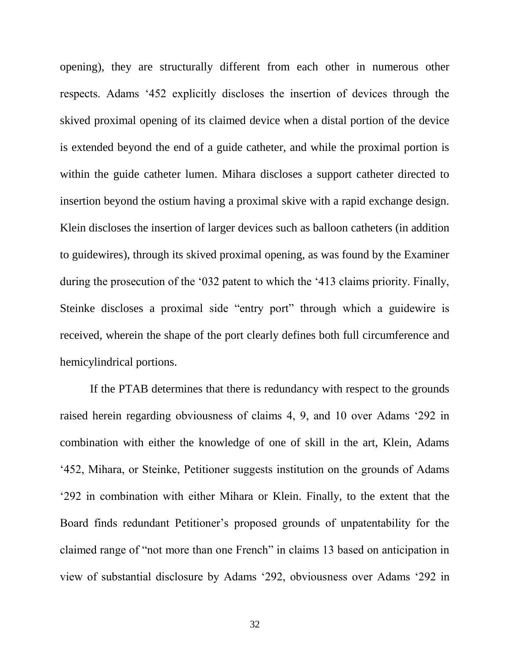opening), they are structurally different from each other in numerous other respects. Adams '452 explicitly discloses the insertion of devices through the skived proximal opening of its claimed device when a distal portion of the device is extended beyond the end of a guide catheter, and while the proximal portion is within the guide catheter lumen. Mihara discloses a support catheter directed to insertion beyond the ostium having a proximal skive with a rapid exchange design. Klein discloses the insertion of larger devices such as balloon catheters (in addition to guidewires), through its skived proximal opening, as was found by the Examiner during the prosecution of the '032 patent to which the '413 claims priority. Finally, Steinke discloses a proximal side "entry port" through which a guidewire is received, wherein the shape of the port clearly defines both full circumference and hemicylindrical portions.

If the PTAB determines that there is redundancy with respect to the grounds raised herein regarding obviousness of claims 4, 9, and 10 over Adams '292 in combination with either the knowledge of one of skill in the art, Klein, Adams '452, Mihara, or Steinke, Petitioner suggests institution on the grounds of Adams '292 in combination with either Mihara or Klein. Finally, to the extent that the Board finds redundant Petitioner's proposed grounds of unpatentability for the claimed range of "not more than one French" in claims 13 based on anticipation in view of substantial disclosure by Adams '292, obviousness over Adams '292 in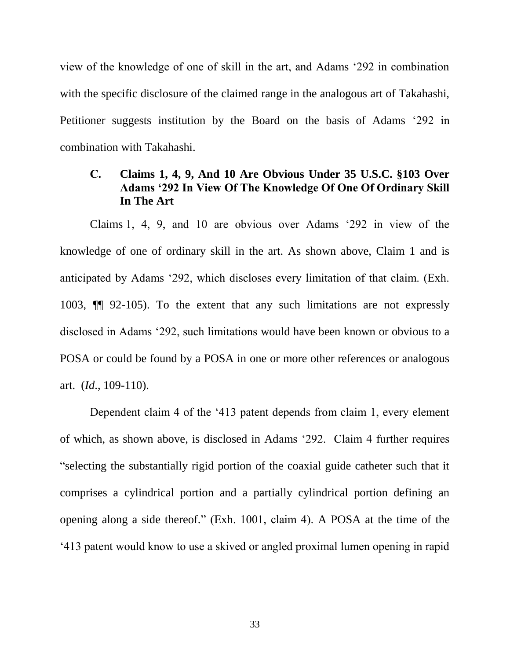view of the knowledge of one of skill in the art, and Adams '292 in combination with the specific disclosure of the claimed range in the analogous art of Takahashi, Petitioner suggests institution by the Board on the basis of Adams '292 in combination with Takahashi.

# <span id="page-33-0"></span>**C. Claims 1, 4, 9, And 10 Are Obvious Under 35 U.S.C. §103 Over Adams '292 In View Of The Knowledge Of One Of Ordinary Skill In The Art**

Claims 1, 4, 9, and 10 are obvious over Adams '292 in view of the knowledge of one of ordinary skill in the art. As shown above, Claim 1 and is anticipated by Adams '292, which discloses every limitation of that claim. (Exh. 1003, ¶¶ 92-105). To the extent that any such limitations are not expressly disclosed in Adams '292, such limitations would have been known or obvious to a POSA or could be found by a POSA in one or more other references or analogous art. (*Id*., 109-110).

Dependent claim 4 of the '413 patent depends from claim 1, every element of which, as shown above, is disclosed in Adams '292. Claim 4 further requires "selecting the substantially rigid portion of the coaxial guide catheter such that it comprises a cylindrical portion and a partially cylindrical portion defining an opening along a side thereof." (Exh. 1001, claim 4). A POSA at the time of the '413 patent would know to use a skived or angled proximal lumen opening in rapid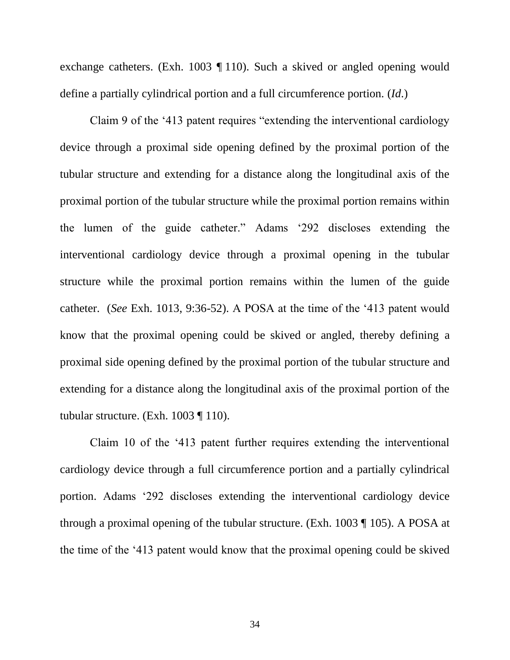exchange catheters. (Exh. 1003 ¶ 110). Such a skived or angled opening would define a partially cylindrical portion and a full circumference portion. (*Id*.)

Claim 9 of the '413 patent requires "extending the interventional cardiology device through a proximal side opening defined by the proximal portion of the tubular structure and extending for a distance along the longitudinal axis of the proximal portion of the tubular structure while the proximal portion remains within the lumen of the guide catheter." Adams '292 discloses extending the interventional cardiology device through a proximal opening in the tubular structure while the proximal portion remains within the lumen of the guide catheter. (*See* Exh. 1013, 9:36-52). A POSA at the time of the '413 patent would know that the proximal opening could be skived or angled, thereby defining a proximal side opening defined by the proximal portion of the tubular structure and extending for a distance along the longitudinal axis of the proximal portion of the tubular structure. (Exh. 1003 ¶ 110).

Claim 10 of the '413 patent further requires extending the interventional cardiology device through a full circumference portion and a partially cylindrical portion. Adams '292 discloses extending the interventional cardiology device through a proximal opening of the tubular structure. (Exh. 1003 ¶ 105). A POSA at the time of the '413 patent would know that the proximal opening could be skived

34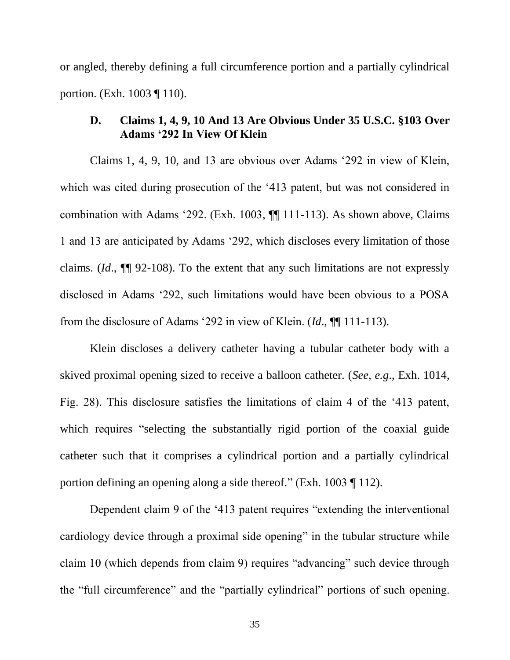or angled, thereby defining a full circumference portion and a partially cylindrical portion. (Exh. 1003 ¶ 110).

# <span id="page-35-0"></span>**D. Claims 1, 4, 9, 10 And 13 Are Obvious Under 35 U.S.C. §103 Over Adams '292 In View Of Klein**

Claims 1, 4, 9, 10, and 13 are obvious over Adams '292 in view of Klein, which was cited during prosecution of the '413 patent, but was not considered in combination with Adams '292. (Exh. 1003, ¶¶ 111-113). As shown above, Claims 1 and 13 are anticipated by Adams '292, which discloses every limitation of those claims. (*Id*., ¶¶ 92-108). To the extent that any such limitations are not expressly disclosed in Adams '292, such limitations would have been obvious to a POSA from the disclosure of Adams '292 in view of Klein. (*Id*., ¶¶ 111-113).

Klein discloses a delivery catheter having a tubular catheter body with a skived proximal opening sized to receive a balloon catheter. (*See, e.g*., Exh. 1014, Fig. 28). This disclosure satisfies the limitations of claim 4 of the '413 patent, which requires "selecting the substantially rigid portion of the coaxial guide catheter such that it comprises a cylindrical portion and a partially cylindrical portion defining an opening along a side thereof." (Exh. 1003 ¶ 112).

Dependent claim 9 of the '413 patent requires "extending the interventional cardiology device through a proximal side opening" in the tubular structure while claim 10 (which depends from claim 9) requires "advancing" such device through the "full circumference" and the "partially cylindrical" portions of such opening.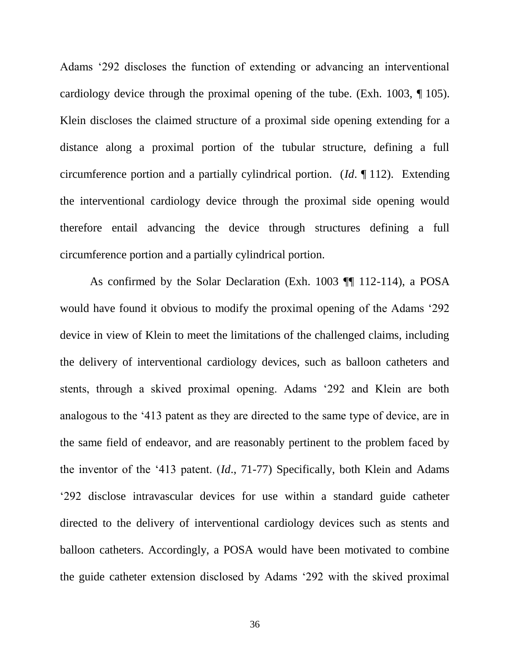Adams '292 discloses the function of extending or advancing an interventional cardiology device through the proximal opening of the tube. (Exh. 1003, ¶ 105). Klein discloses the claimed structure of a proximal side opening extending for a distance along a proximal portion of the tubular structure, defining a full circumference portion and a partially cylindrical portion. (*Id*. ¶ 112). Extending the interventional cardiology device through the proximal side opening would therefore entail advancing the device through structures defining a full circumference portion and a partially cylindrical portion.

As confirmed by the Solar Declaration (Exh. 1003 ¶¶ 112-114), a POSA would have found it obvious to modify the proximal opening of the Adams '292 device in view of Klein to meet the limitations of the challenged claims, including the delivery of interventional cardiology devices, such as balloon catheters and stents, through a skived proximal opening. Adams '292 and Klein are both analogous to the '413 patent as they are directed to the same type of device, are in the same field of endeavor, and are reasonably pertinent to the problem faced by the inventor of the '413 patent. (*Id*., 71-77) Specifically, both Klein and Adams '292 disclose intravascular devices for use within a standard guide catheter directed to the delivery of interventional cardiology devices such as stents and balloon catheters. Accordingly, a POSA would have been motivated to combine the guide catheter extension disclosed by Adams '292 with the skived proximal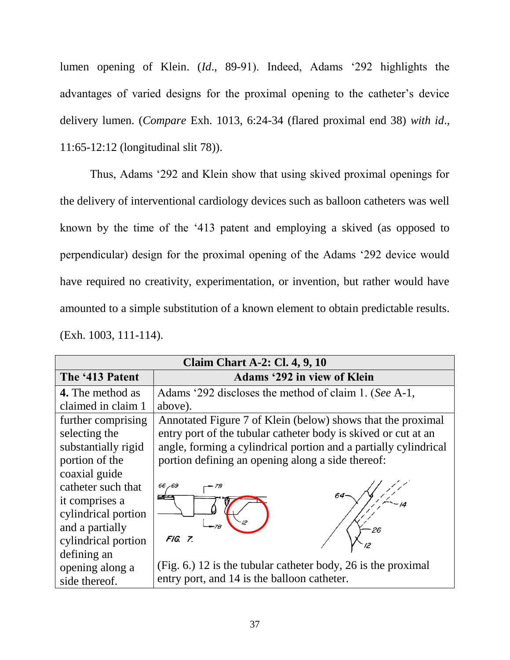lumen opening of Klein. (*Id*., 89-91). Indeed, Adams '292 highlights the advantages of varied designs for the proximal opening to the catheter's device delivery lumen. (*Compare* Exh. 1013, 6:24-34 (flared proximal end 38) *with id*., 11:65-12:12 (longitudinal slit 78)).

Thus, Adams '292 and Klein show that using skived proximal openings for the delivery of interventional cardiology devices such as balloon catheters was well known by the time of the '413 patent and employing a skived (as opposed to perpendicular) design for the proximal opening of the Adams '292 device would have required no creativity, experimentation, or invention, but rather would have amounted to a simple substitution of a known element to obtain predictable results. (Exh. 1003, 111-114).

| <b>Claim Chart A-2: Cl. 4, 9, 10</b> |                                                                  |  |
|--------------------------------------|------------------------------------------------------------------|--|
| The '413 Patent                      | <b>Adams '292 in view of Klein</b>                               |  |
| 4. The method as                     | Adams '292 discloses the method of claim 1. (See A-1,            |  |
| claimed in claim 1                   | above).                                                          |  |
| further comprising                   | Annotated Figure 7 of Klein (below) shows that the proximal      |  |
| selecting the                        | entry port of the tubular catheter body is skived or cut at an   |  |
| substantially rigid                  | angle, forming a cylindrical portion and a partially cylindrical |  |
| portion of the                       | portion defining an opening along a side thereof:                |  |
| coaxial guide                        |                                                                  |  |
| catheter such that                   | 66,69                                                            |  |
| it comprises a                       |                                                                  |  |
| cylindrical portion                  |                                                                  |  |
| and a partially                      | 26                                                               |  |
| cylindrical portion                  | FIG. 7.                                                          |  |
| defining an                          |                                                                  |  |
| opening along a                      | (Fig. 6.) 12 is the tubular catheter body, 26 is the proximal    |  |
| side thereof.                        | entry port, and 14 is the balloon catheter.                      |  |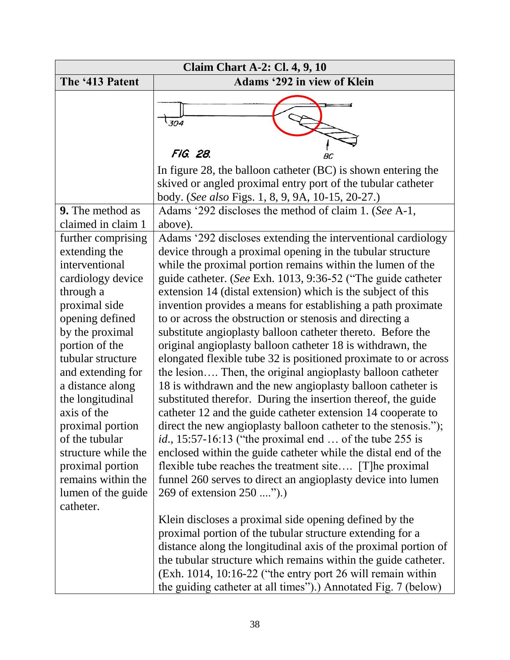| <b>Claim Chart A-2: Cl. 4, 9, 10</b>                                                                                                                                                                                                                                                                                                                                                                        |                                                                                                                                                                                                                                                                                                                                                                                                                                                                                                                                                                                                                                                                                                                                                                                                                                                                                                                                                                                                                                                                                                                                                                                                                                                                                    |  |
|-------------------------------------------------------------------------------------------------------------------------------------------------------------------------------------------------------------------------------------------------------------------------------------------------------------------------------------------------------------------------------------------------------------|------------------------------------------------------------------------------------------------------------------------------------------------------------------------------------------------------------------------------------------------------------------------------------------------------------------------------------------------------------------------------------------------------------------------------------------------------------------------------------------------------------------------------------------------------------------------------------------------------------------------------------------------------------------------------------------------------------------------------------------------------------------------------------------------------------------------------------------------------------------------------------------------------------------------------------------------------------------------------------------------------------------------------------------------------------------------------------------------------------------------------------------------------------------------------------------------------------------------------------------------------------------------------------|--|
| The '413 Patent                                                                                                                                                                                                                                                                                                                                                                                             | <b>Adams '292 in view of Klein</b>                                                                                                                                                                                                                                                                                                                                                                                                                                                                                                                                                                                                                                                                                                                                                                                                                                                                                                                                                                                                                                                                                                                                                                                                                                                 |  |
|                                                                                                                                                                                                                                                                                                                                                                                                             | 304<br>FIG. 28.                                                                                                                                                                                                                                                                                                                                                                                                                                                                                                                                                                                                                                                                                                                                                                                                                                                                                                                                                                                                                                                                                                                                                                                                                                                                    |  |
|                                                                                                                                                                                                                                                                                                                                                                                                             |                                                                                                                                                                                                                                                                                                                                                                                                                                                                                                                                                                                                                                                                                                                                                                                                                                                                                                                                                                                                                                                                                                                                                                                                                                                                                    |  |
|                                                                                                                                                                                                                                                                                                                                                                                                             | In figure 28, the balloon catheter (BC) is shown entering the<br>skived or angled proximal entry port of the tubular catheter<br>body. (See also Figs. 1, 8, 9, 9A, 10-15, 20-27.)                                                                                                                                                                                                                                                                                                                                                                                                                                                                                                                                                                                                                                                                                                                                                                                                                                                                                                                                                                                                                                                                                                 |  |
| <b>9.</b> The method as                                                                                                                                                                                                                                                                                                                                                                                     | Adams '292 discloses the method of claim 1. (See A-1,                                                                                                                                                                                                                                                                                                                                                                                                                                                                                                                                                                                                                                                                                                                                                                                                                                                                                                                                                                                                                                                                                                                                                                                                                              |  |
| claimed in claim 1                                                                                                                                                                                                                                                                                                                                                                                          | above).                                                                                                                                                                                                                                                                                                                                                                                                                                                                                                                                                                                                                                                                                                                                                                                                                                                                                                                                                                                                                                                                                                                                                                                                                                                                            |  |
| further comprising<br>extending the<br>interventional<br>cardiology device<br>through a<br>proximal side<br>opening defined<br>by the proximal<br>portion of the<br>tubular structure<br>and extending for<br>a distance along<br>the longitudinal<br>axis of the<br>proximal portion<br>of the tubular<br>structure while the<br>proximal portion<br>remains within the<br>lumen of the guide<br>catheter. | Adams '292 discloses extending the interventional cardiology<br>device through a proximal opening in the tubular structure<br>while the proximal portion remains within the lumen of the<br>guide catheter. (See Exh. 1013, 9:36-52 ("The guide catheter<br>extension 14 (distal extension) which is the subject of this<br>invention provides a means for establishing a path proximate<br>to or across the obstruction or stenosis and directing a<br>substitute angioplasty balloon catheter thereto. Before the<br>original angioplasty balloon catheter 18 is withdrawn, the<br>elongated flexible tube 32 is positioned proximate to or across<br>the lesion Then, the original angioplasty balloon catheter<br>18 is withdrawn and the new angioplasty balloon catheter is<br>substituted therefor. During the insertion thereof, the guide<br>catheter 12 and the guide catheter extension 14 cooperate to<br>direct the new angioplasty balloon catheter to the stenosis.");<br><i>id.</i> , 15:57-16:13 ("the proximal end  of the tube 255 is<br>enclosed within the guide catheter while the distal end of the<br>flexible tube reaches the treatment site [T] he proximal<br>funnel 260 serves to direct an angioplasty device into lumen<br>269 of extension 250 "). |  |
|                                                                                                                                                                                                                                                                                                                                                                                                             | Klein discloses a proximal side opening defined by the<br>proximal portion of the tubular structure extending for a                                                                                                                                                                                                                                                                                                                                                                                                                                                                                                                                                                                                                                                                                                                                                                                                                                                                                                                                                                                                                                                                                                                                                                |  |
|                                                                                                                                                                                                                                                                                                                                                                                                             | distance along the longitudinal axis of the proximal portion of                                                                                                                                                                                                                                                                                                                                                                                                                                                                                                                                                                                                                                                                                                                                                                                                                                                                                                                                                                                                                                                                                                                                                                                                                    |  |
|                                                                                                                                                                                                                                                                                                                                                                                                             | the tubular structure which remains within the guide catheter.<br>(Exh. 1014, 10:16-22 ("the entry port 26 will remain within                                                                                                                                                                                                                                                                                                                                                                                                                                                                                                                                                                                                                                                                                                                                                                                                                                                                                                                                                                                                                                                                                                                                                      |  |
|                                                                                                                                                                                                                                                                                                                                                                                                             | the guiding catheter at all times").) Annotated Fig. 7 (below)                                                                                                                                                                                                                                                                                                                                                                                                                                                                                                                                                                                                                                                                                                                                                                                                                                                                                                                                                                                                                                                                                                                                                                                                                     |  |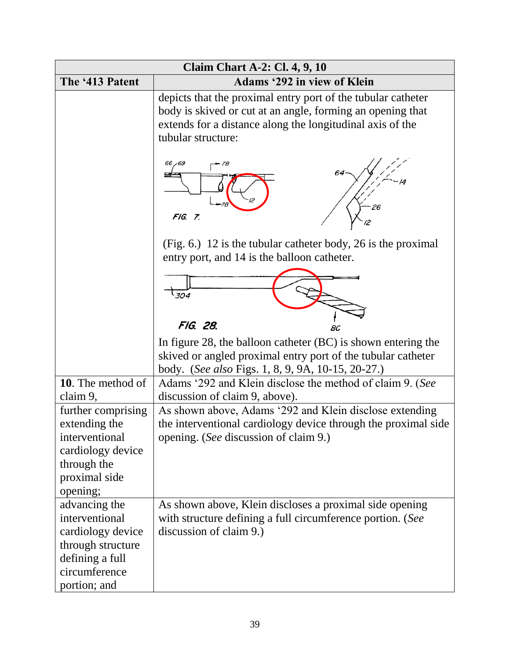| <b>Claim Chart A-2: Cl. 4, 9, 10</b> |                                                                                                                                                                                                               |  |
|--------------------------------------|---------------------------------------------------------------------------------------------------------------------------------------------------------------------------------------------------------------|--|
| The '413 Patent                      | <b>Adams '292 in view of Klein</b>                                                                                                                                                                            |  |
|                                      | depicts that the proximal entry port of the tubular catheter<br>body is skived or cut at an angle, forming an opening that<br>extends for a distance along the longitudinal axis of the<br>tubular structure: |  |
|                                      | 66 - 69<br>FIG. 7.                                                                                                                                                                                            |  |
|                                      | (Fig. 6.) 12 is the tubular catheter body, 26 is the proximal<br>entry port, and 14 is the balloon catheter.                                                                                                  |  |
|                                      | $\sqrt{304}$                                                                                                                                                                                                  |  |
|                                      | FIG. 28.<br>BC                                                                                                                                                                                                |  |
|                                      | In figure 28, the balloon catheter (BC) is shown entering the<br>skived or angled proximal entry port of the tubular catheter<br>body. (See also Figs. 1, 8, 9, 9A, 10-15, 20-27.)                            |  |
| 10. The method of                    | Adams '292 and Klein disclose the method of claim 9. (See                                                                                                                                                     |  |
| claim 9,                             | discussion of claim 9, above).                                                                                                                                                                                |  |
| further comprising                   | As shown above, Adams '292 and Klein disclose extending                                                                                                                                                       |  |
| extending the                        | the interventional cardiology device through the proximal side                                                                                                                                                |  |
| interventional                       | opening. (See discussion of claim 9.)                                                                                                                                                                         |  |
| cardiology device<br>through the     |                                                                                                                                                                                                               |  |
| proximal side                        |                                                                                                                                                                                                               |  |
| opening;                             |                                                                                                                                                                                                               |  |
| advancing the                        | As shown above, Klein discloses a proximal side opening                                                                                                                                                       |  |
| interventional                       | with structure defining a full circumference portion. (See                                                                                                                                                    |  |
| cardiology device                    | discussion of claim 9.)                                                                                                                                                                                       |  |
| through structure                    |                                                                                                                                                                                                               |  |
| defining a full                      |                                                                                                                                                                                                               |  |
| circumference                        |                                                                                                                                                                                                               |  |
| portion; and                         |                                                                                                                                                                                                               |  |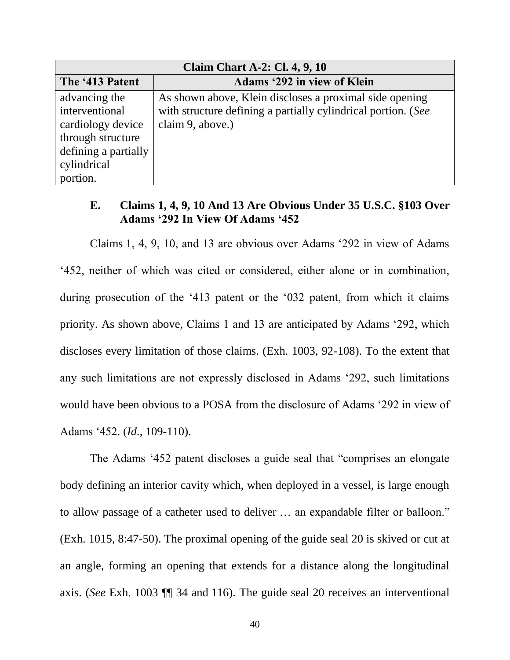| <b>Claim Chart A-2: Cl. 4, 9, 10</b> |                                                               |  |
|--------------------------------------|---------------------------------------------------------------|--|
| The '413 Patent                      | Adams '292 in view of Klein                                   |  |
| advancing the                        | As shown above, Klein discloses a proximal side opening       |  |
| interventional                       | with structure defining a partially cylindrical portion. (See |  |
| cardiology device                    | claim 9, above.)                                              |  |
| through structure                    |                                                               |  |
| defining a partially                 |                                                               |  |
| cylindrical                          |                                                               |  |
| portion.                             |                                                               |  |

### <span id="page-40-0"></span>**E. Claims 1, 4, 9, 10 And 13 Are Obvious Under 35 U.S.C. §103 Over Adams '292 In View Of Adams '452**

Claims 1, 4, 9, 10, and 13 are obvious over Adams '292 in view of Adams '452, neither of which was cited or considered, either alone or in combination, during prosecution of the '413 patent or the '032 patent, from which it claims priority. As shown above, Claims 1 and 13 are anticipated by Adams '292, which discloses every limitation of those claims. (Exh. 1003, 92-108). To the extent that any such limitations are not expressly disclosed in Adams '292, such limitations would have been obvious to a POSA from the disclosure of Adams '292 in view of Adams '452. (*Id*., 109-110).

The Adams '452 patent discloses a guide seal that "comprises an elongate body defining an interior cavity which, when deployed in a vessel, is large enough to allow passage of a catheter used to deliver … an expandable filter or balloon." (Exh. 1015, 8:47-50). The proximal opening of the guide seal 20 is skived or cut at an angle, forming an opening that extends for a distance along the longitudinal axis. (*See* Exh. 1003 ¶¶ 34 and 116). The guide seal 20 receives an interventional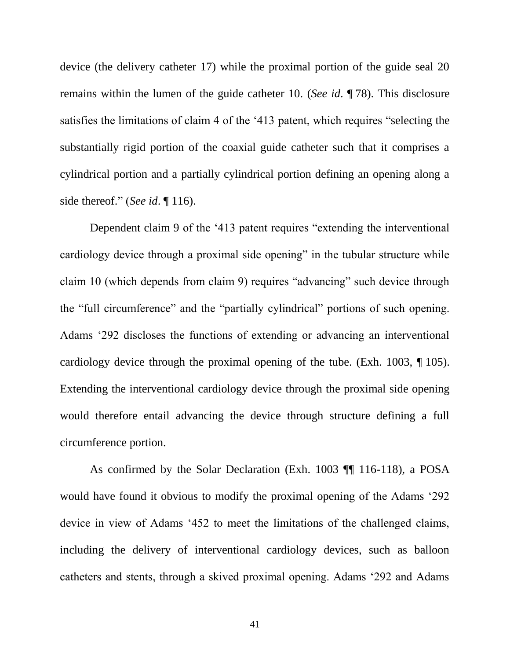device (the delivery catheter 17) while the proximal portion of the guide seal 20 remains within the lumen of the guide catheter 10. (*See id*. ¶ 78). This disclosure satisfies the limitations of claim 4 of the '413 patent, which requires "selecting the substantially rigid portion of the coaxial guide catheter such that it comprises a cylindrical portion and a partially cylindrical portion defining an opening along a side thereof." (*See id*. ¶ 116).

Dependent claim 9 of the '413 patent requires "extending the interventional cardiology device through a proximal side opening" in the tubular structure while claim 10 (which depends from claim 9) requires "advancing" such device through the "full circumference" and the "partially cylindrical" portions of such opening. Adams '292 discloses the functions of extending or advancing an interventional cardiology device through the proximal opening of the tube. (Exh. 1003, ¶ 105). Extending the interventional cardiology device through the proximal side opening would therefore entail advancing the device through structure defining a full circumference portion.

As confirmed by the Solar Declaration (Exh. 1003 ¶¶ 116-118), a POSA would have found it obvious to modify the proximal opening of the Adams '292 device in view of Adams '452 to meet the limitations of the challenged claims, including the delivery of interventional cardiology devices, such as balloon catheters and stents, through a skived proximal opening. Adams '292 and Adams

41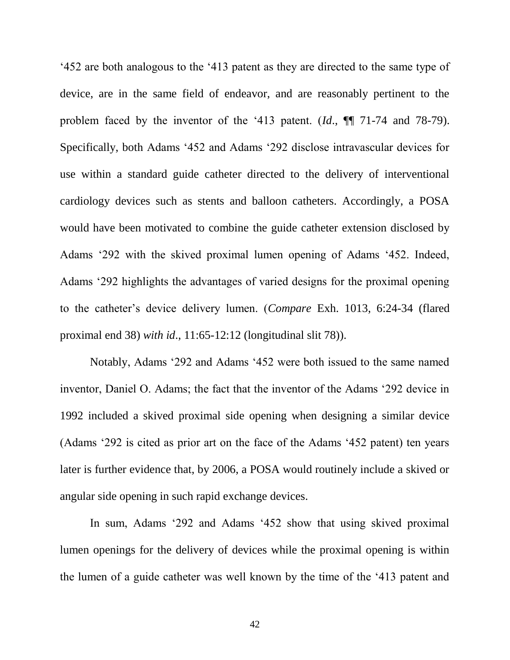'452 are both analogous to the '413 patent as they are directed to the same type of device, are in the same field of endeavor, and are reasonably pertinent to the problem faced by the inventor of the '413 patent. (*Id*., ¶¶ 71-74 and 78-79). Specifically, both Adams '452 and Adams '292 disclose intravascular devices for use within a standard guide catheter directed to the delivery of interventional cardiology devices such as stents and balloon catheters. Accordingly, a POSA would have been motivated to combine the guide catheter extension disclosed by Adams '292 with the skived proximal lumen opening of Adams '452. Indeed, Adams '292 highlights the advantages of varied designs for the proximal opening to the catheter's device delivery lumen. (*Compare* Exh. 1013, 6:24-34 (flared proximal end 38) *with id*., 11:65-12:12 (longitudinal slit 78)).

Notably, Adams '292 and Adams '452 were both issued to the same named inventor, Daniel O. Adams; the fact that the inventor of the Adams '292 device in 1992 included a skived proximal side opening when designing a similar device (Adams '292 is cited as prior art on the face of the Adams '452 patent) ten years later is further evidence that, by 2006, a POSA would routinely include a skived or angular side opening in such rapid exchange devices.

In sum, Adams '292 and Adams '452 show that using skived proximal lumen openings for the delivery of devices while the proximal opening is within the lumen of a guide catheter was well known by the time of the '413 patent and

42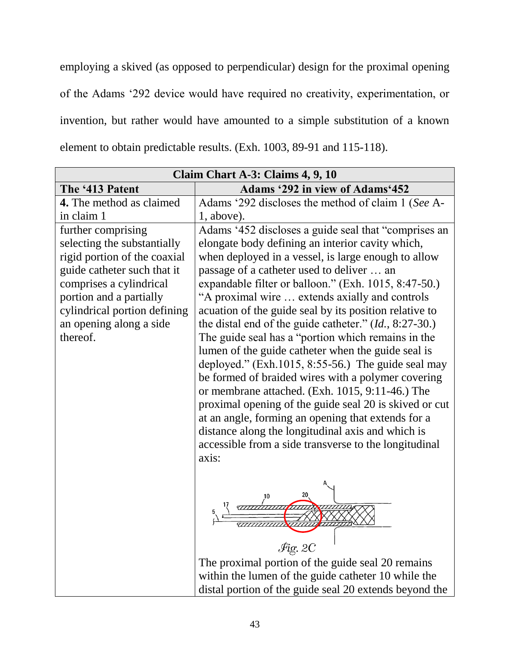employing a skived (as opposed to perpendicular) design for the proximal opening of the Adams '292 device would have required no creativity, experimentation, or invention, but rather would have amounted to a simple substitution of a known element to obtain predictable results. (Exh. 1003, 89-91 and 115-118).

| Claim Chart A-3: Claims 4, 9, 10                                                                                                                                                                                                              |                                                                                                                                                                                                                                                                                                                                                                                                                                                                                                                                                                                                                                                                                                                                                                                                                                                                                                                                                                  |  |
|-----------------------------------------------------------------------------------------------------------------------------------------------------------------------------------------------------------------------------------------------|------------------------------------------------------------------------------------------------------------------------------------------------------------------------------------------------------------------------------------------------------------------------------------------------------------------------------------------------------------------------------------------------------------------------------------------------------------------------------------------------------------------------------------------------------------------------------------------------------------------------------------------------------------------------------------------------------------------------------------------------------------------------------------------------------------------------------------------------------------------------------------------------------------------------------------------------------------------|--|
| The '413 Patent                                                                                                                                                                                                                               | Adams '292 in view of Adams'452                                                                                                                                                                                                                                                                                                                                                                                                                                                                                                                                                                                                                                                                                                                                                                                                                                                                                                                                  |  |
| 4. The method as claimed                                                                                                                                                                                                                      | Adams '292 discloses the method of claim 1 (See A-                                                                                                                                                                                                                                                                                                                                                                                                                                                                                                                                                                                                                                                                                                                                                                                                                                                                                                               |  |
| in claim 1                                                                                                                                                                                                                                    | 1, above).                                                                                                                                                                                                                                                                                                                                                                                                                                                                                                                                                                                                                                                                                                                                                                                                                                                                                                                                                       |  |
| further comprising<br>selecting the substantially<br>rigid portion of the coaxial<br>guide catheter such that it<br>comprises a cylindrical<br>portion and a partially<br>cylindrical portion defining<br>an opening along a side<br>thereof. | Adams '452 discloses a guide seal that "comprises an<br>elongate body defining an interior cavity which,<br>when deployed in a vessel, is large enough to allow<br>passage of a catheter used to deliver  an<br>expandable filter or balloon." (Exh. 1015, 8:47-50.)<br>"A proximal wire  extends axially and controls<br>acuation of the guide seal by its position relative to<br>the distal end of the guide catheter." $(Id., 8:27-30.)$<br>The guide seal has a "portion which remains in the<br>lumen of the guide catheter when the guide seal is<br>deployed." $(Exh.1015, 8:55-56.)$ The guide seal may<br>be formed of braided wires with a polymer covering<br>or membrane attached. (Exh. 1015, 9:11-46.) The<br>proximal opening of the guide seal 20 is skived or cut<br>at an angle, forming an opening that extends for a<br>distance along the longitudinal axis and which is<br>accessible from a side transverse to the longitudinal<br>axis: |  |
|                                                                                                                                                                                                                                               | $\mathcal{F}$ ig. 2C<br>The proximal portion of the guide seal 20 remains<br>within the lumen of the guide catheter 10 while the<br>distal portion of the guide seal 20 extends beyond the                                                                                                                                                                                                                                                                                                                                                                                                                                                                                                                                                                                                                                                                                                                                                                       |  |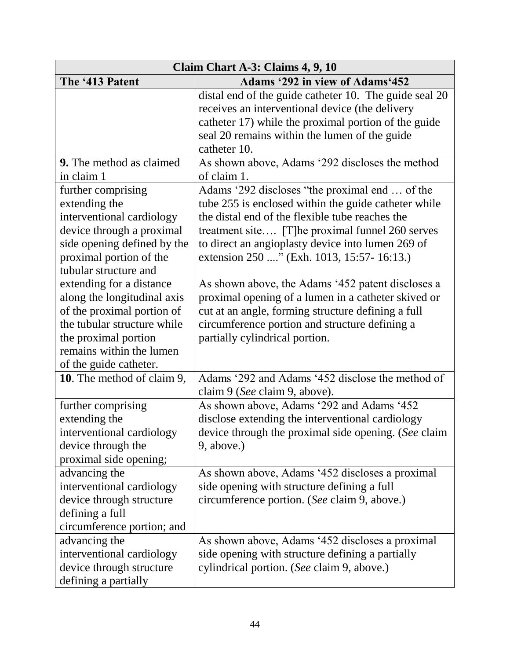| Claim Chart A-3: Claims 4, 9, 10                                                                                                                                                                                                                                                                                                                             |                                                                                                                                                                                                                                                                                                                                                                                                                                                                                                                                                                        |  |
|--------------------------------------------------------------------------------------------------------------------------------------------------------------------------------------------------------------------------------------------------------------------------------------------------------------------------------------------------------------|------------------------------------------------------------------------------------------------------------------------------------------------------------------------------------------------------------------------------------------------------------------------------------------------------------------------------------------------------------------------------------------------------------------------------------------------------------------------------------------------------------------------------------------------------------------------|--|
| The '413 Patent                                                                                                                                                                                                                                                                                                                                              | <b>Adams '292 in view of Adams'452</b>                                                                                                                                                                                                                                                                                                                                                                                                                                                                                                                                 |  |
|                                                                                                                                                                                                                                                                                                                                                              | distal end of the guide catheter 10. The guide seal 20<br>receives an interventional device (the delivery<br>catheter 17) while the proximal portion of the guide<br>seal 20 remains within the lumen of the guide                                                                                                                                                                                                                                                                                                                                                     |  |
|                                                                                                                                                                                                                                                                                                                                                              | catheter 10.                                                                                                                                                                                                                                                                                                                                                                                                                                                                                                                                                           |  |
| <b>9.</b> The method as claimed                                                                                                                                                                                                                                                                                                                              | As shown above, Adams '292 discloses the method                                                                                                                                                                                                                                                                                                                                                                                                                                                                                                                        |  |
| in claim 1                                                                                                                                                                                                                                                                                                                                                   | of claim 1.                                                                                                                                                                                                                                                                                                                                                                                                                                                                                                                                                            |  |
| further comprising<br>extending the<br>interventional cardiology<br>device through a proximal<br>side opening defined by the<br>proximal portion of the<br>tubular structure and<br>extending for a distance<br>along the longitudinal axis<br>of the proximal portion of<br>the tubular structure while<br>the proximal portion<br>remains within the lumen | Adams '292 discloses "the proximal end  of the<br>tube 255 is enclosed within the guide catheter while<br>the distal end of the flexible tube reaches the<br>treatment site [T] he proximal funnel 260 serves<br>to direct an angioplasty device into lumen 269 of<br>extension 250 " (Exh. 1013, 15:57- 16:13.)<br>As shown above, the Adams '452 patent discloses a<br>proximal opening of a lumen in a catheter skived or<br>cut at an angle, forming structure defining a full<br>circumference portion and structure defining a<br>partially cylindrical portion. |  |
| of the guide catheter.<br>10. The method of claim 9,                                                                                                                                                                                                                                                                                                         | Adams '292 and Adams '452 disclose the method of<br>claim 9 (See claim 9, above).                                                                                                                                                                                                                                                                                                                                                                                                                                                                                      |  |
| further comprising<br>extending the<br>interventional cardiology<br>device through the<br>proximal side opening;                                                                                                                                                                                                                                             | As shown above, Adams '292 and Adams '452<br>disclose extending the interventional cardiology<br>device through the proximal side opening. (See claim<br>9, above.)                                                                                                                                                                                                                                                                                                                                                                                                    |  |
| advancing the<br>interventional cardiology<br>device through structure<br>defining a full<br>circumference portion; and                                                                                                                                                                                                                                      | As shown above, Adams '452 discloses a proximal<br>side opening with structure defining a full<br>circumference portion. (See claim 9, above.)                                                                                                                                                                                                                                                                                                                                                                                                                         |  |
| advancing the<br>interventional cardiology<br>device through structure<br>defining a partially                                                                                                                                                                                                                                                               | As shown above, Adams '452 discloses a proximal<br>side opening with structure defining a partially<br>cylindrical portion. (See claim 9, above.)                                                                                                                                                                                                                                                                                                                                                                                                                      |  |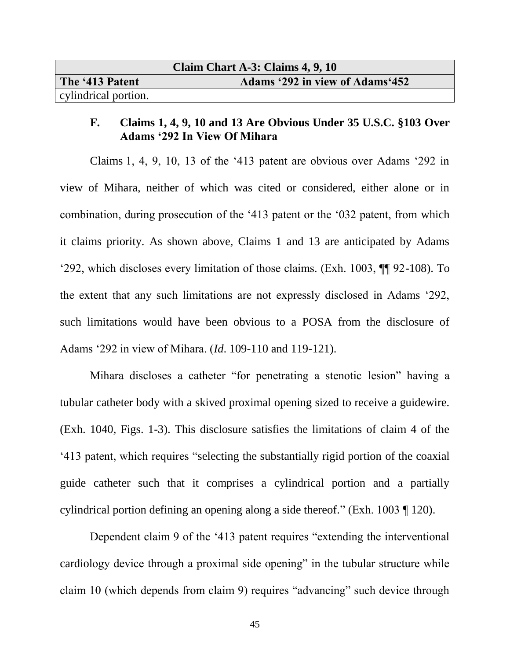| Claim Chart A-3: Claims 4, 9, 10 |                                 |  |
|----------------------------------|---------------------------------|--|
| The '413 Patent                  | Adams '292 in view of Adams'452 |  |
| cylindrical portion.             |                                 |  |

# <span id="page-45-0"></span>**F. Claims 1, 4, 9, 10 and 13 Are Obvious Under 35 U.S.C. §103 Over Adams '292 In View Of Mihara**

Claims 1, 4, 9, 10, 13 of the '413 patent are obvious over Adams '292 in view of Mihara, neither of which was cited or considered, either alone or in combination, during prosecution of the '413 patent or the '032 patent, from which it claims priority. As shown above, Claims 1 and 13 are anticipated by Adams '292, which discloses every limitation of those claims. (Exh. 1003, ¶¶ 92-108). To the extent that any such limitations are not expressly disclosed in Adams '292, such limitations would have been obvious to a POSA from the disclosure of Adams '292 in view of Mihara. (*Id*. 109-110 and 119-121).

Mihara discloses a catheter "for penetrating a stenotic lesion" having a tubular catheter body with a skived proximal opening sized to receive a guidewire. (Exh. 1040, Figs. 1-3). This disclosure satisfies the limitations of claim 4 of the '413 patent, which requires "selecting the substantially rigid portion of the coaxial guide catheter such that it comprises a cylindrical portion and a partially cylindrical portion defining an opening along a side thereof." (Exh. 1003 ¶ 120).

Dependent claim 9 of the '413 patent requires "extending the interventional cardiology device through a proximal side opening" in the tubular structure while claim 10 (which depends from claim 9) requires "advancing" such device through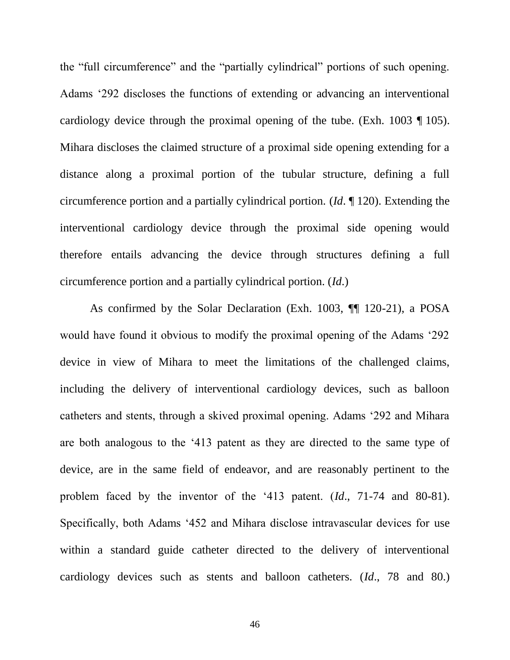the "full circumference" and the "partially cylindrical" portions of such opening. Adams '292 discloses the functions of extending or advancing an interventional cardiology device through the proximal opening of the tube. (Exh. 1003 ¶ 105). Mihara discloses the claimed structure of a proximal side opening extending for a distance along a proximal portion of the tubular structure, defining a full circumference portion and a partially cylindrical portion. (*Id*. ¶ 120). Extending the interventional cardiology device through the proximal side opening would therefore entails advancing the device through structures defining a full circumference portion and a partially cylindrical portion. (*Id*.)

As confirmed by the Solar Declaration (Exh. 1003, ¶¶ 120-21), a POSA would have found it obvious to modify the proximal opening of the Adams '292 device in view of Mihara to meet the limitations of the challenged claims, including the delivery of interventional cardiology devices, such as balloon catheters and stents, through a skived proximal opening. Adams '292 and Mihara are both analogous to the '413 patent as they are directed to the same type of device, are in the same field of endeavor, and are reasonably pertinent to the problem faced by the inventor of the '413 patent. (*Id*., 71-74 and 80-81). Specifically, both Adams '452 and Mihara disclose intravascular devices for use within a standard guide catheter directed to the delivery of interventional cardiology devices such as stents and balloon catheters. (*Id*., 78 and 80.)

46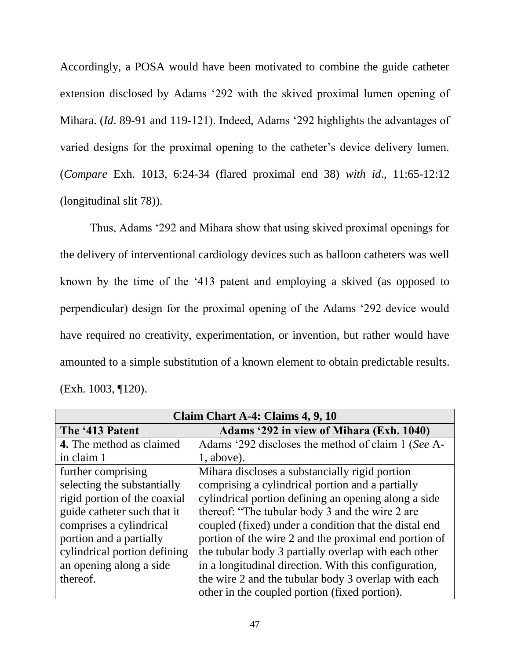Accordingly, a POSA would have been motivated to combine the guide catheter extension disclosed by Adams '292 with the skived proximal lumen opening of Mihara. (*Id*. 89-91 and 119-121). Indeed, Adams '292 highlights the advantages of varied designs for the proximal opening to the catheter's device delivery lumen. (*Compare* Exh. 1013, 6:24-34 (flared proximal end 38) *with id*., 11:65-12:12 (longitudinal slit 78)).

Thus, Adams '292 and Mihara show that using skived proximal openings for the delivery of interventional cardiology devices such as balloon catheters was well known by the time of the '413 patent and employing a skived (as opposed to perpendicular) design for the proximal opening of the Adams '292 device would have required no creativity, experimentation, or invention, but rather would have amounted to a simple substitution of a known element to obtain predictable results. (Exh. 1003, ¶120).

| Claim Chart A-4: Claims 4, 9, 10 |                                                       |  |
|----------------------------------|-------------------------------------------------------|--|
| The '413 Patent                  | Adams '292 in view of Mihara (Exh. 1040)              |  |
| <b>4.</b> The method as claimed  | Adams '292 discloses the method of claim 1 (See A-    |  |
| in claim 1                       | $1$ , above).                                         |  |
| further comprising               | Mihara discloses a substancially rigid portion        |  |
| selecting the substantially      | comprising a cylindrical portion and a partially      |  |
| rigid portion of the coaxial     | cylindrical portion defining an opening along a side  |  |
| guide catheter such that it      | thereof: "The tubular body 3 and the wire 2 are       |  |
| comprises a cylindrical          | coupled (fixed) under a condition that the distal end |  |
| portion and a partially          | portion of the wire 2 and the proximal end portion of |  |
| cylindrical portion defining     | the tubular body 3 partially overlap with each other  |  |
| an opening along a side          | in a longitudinal direction. With this configuration, |  |
| thereof.                         | the wire 2 and the tubular body 3 overlap with each   |  |
|                                  | other in the coupled portion (fixed portion).         |  |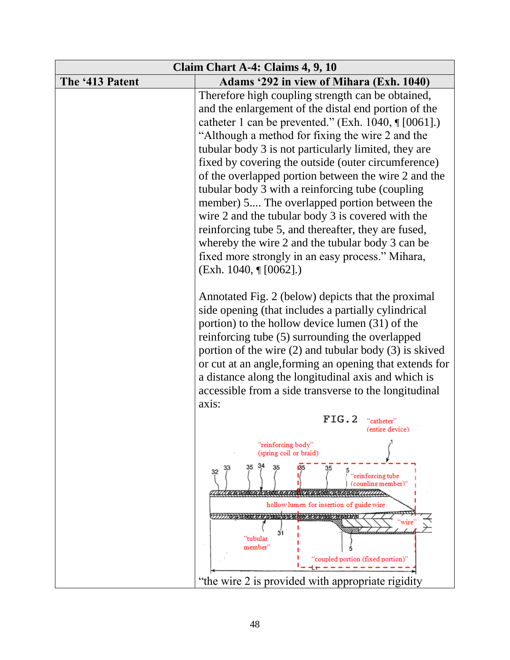| Claim Chart A-4: Claims 4, 9, 10 |                                                                                                                                                                                                                                                                                                                                                                                                                                                                                                                                                                                                                                                                                                                                                            |  |
|----------------------------------|------------------------------------------------------------------------------------------------------------------------------------------------------------------------------------------------------------------------------------------------------------------------------------------------------------------------------------------------------------------------------------------------------------------------------------------------------------------------------------------------------------------------------------------------------------------------------------------------------------------------------------------------------------------------------------------------------------------------------------------------------------|--|
| The '413 Patent                  | Adams '292 in view of Mihara (Exh. 1040)                                                                                                                                                                                                                                                                                                                                                                                                                                                                                                                                                                                                                                                                                                                   |  |
|                                  | Therefore high coupling strength can be obtained,<br>and the enlargement of the distal end portion of the<br>catheter 1 can be prevented." (Exh. 1040, $\sqrt{[0.061]}.$ )<br>"Although a method for fixing the wire 2 and the<br>tubular body 3 is not particularly limited, they are<br>fixed by covering the outside (outer circumference)<br>of the overlapped portion between the wire 2 and the<br>tubular body 3 with a reinforcing tube (coupling<br>member) 5 The overlapped portion between the<br>wire 2 and the tubular body 3 is covered with the<br>reinforcing tube 5, and thereafter, they are fused,<br>whereby the wire 2 and the tubular body 3 can be<br>fixed more strongly in an easy process." Mihara,<br>$(Exh. 1040, \P [0062].)$ |  |
|                                  | Annotated Fig. 2 (below) depicts that the proximal<br>side opening (that includes a partially cylindrical<br>portion) to the hollow device lumen (31) of the<br>reinforcing tube (5) surrounding the overlapped<br>portion of the wire $(2)$ and tubular body $(3)$ is skived<br>or cut at an angle, forming an opening that extends for<br>a distance along the longitudinal axis and which is<br>accessible from a side transverse to the longitudinal<br>axis:                                                                                                                                                                                                                                                                                          |  |
|                                  | FIG.2<br>"catheter"<br>(entire device)                                                                                                                                                                                                                                                                                                                                                                                                                                                                                                                                                                                                                                                                                                                     |  |
|                                  | "reinforcing body"<br>(spring coil or braid)                                                                                                                                                                                                                                                                                                                                                                                                                                                                                                                                                                                                                                                                                                               |  |
|                                  | "reinforcing tube<br>(coupling member)"<br>348/1111111<br><b>AND THAT</b>                                                                                                                                                                                                                                                                                                                                                                                                                                                                                                                                                                                                                                                                                  |  |
|                                  | hollow lumen for insertion of guide wire                                                                                                                                                                                                                                                                                                                                                                                                                                                                                                                                                                                                                                                                                                                   |  |
|                                  | wire<br><u>humbuash</u><br>"tubular<br>member"<br>"coupled portion (fixed portion)"                                                                                                                                                                                                                                                                                                                                                                                                                                                                                                                                                                                                                                                                        |  |
|                                  | "the wire 2 is provided with appropriate rigidity"                                                                                                                                                                                                                                                                                                                                                                                                                                                                                                                                                                                                                                                                                                         |  |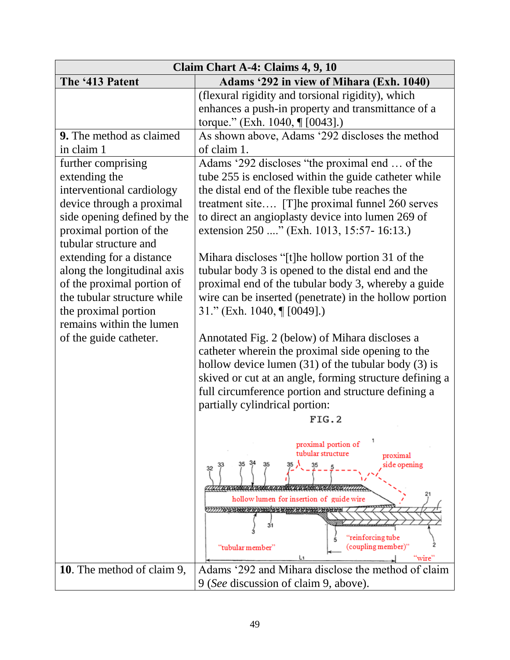| Claim Chart A-4: Claims 4, 9, 10                                                                                                             |                                                                                                                                                                                                                                                                                                                             |  |
|----------------------------------------------------------------------------------------------------------------------------------------------|-----------------------------------------------------------------------------------------------------------------------------------------------------------------------------------------------------------------------------------------------------------------------------------------------------------------------------|--|
| The '413 Patent                                                                                                                              | Adams '292 in view of Mihara (Exh. 1040)                                                                                                                                                                                                                                                                                    |  |
|                                                                                                                                              | (flexural rigidity and torsional rigidity), which<br>enhances a push-in property and transmittance of a<br>torque." (Exh. 1040, ¶ [0043].)                                                                                                                                                                                  |  |
| 9. The method as claimed<br>in claim 1<br>further comprising                                                                                 | As shown above, Adams '292 discloses the method<br>of claim 1.<br>Adams '292 discloses "the proximal end  of the                                                                                                                                                                                                            |  |
| extending the<br>interventional cardiology<br>device through a proximal<br>side opening defined by the                                       | tube 255 is enclosed within the guide catheter while<br>the distal end of the flexible tube reaches the<br>treatment site [T] he proximal funnel 260 serves<br>to direct an angioplasty device into lumen 269 of                                                                                                            |  |
| proximal portion of the<br>tubular structure and<br>extending for a distance                                                                 | extension 250 " (Exh. 1013, 15:57- 16:13.)<br>Mihara discloses "[t]he hollow portion 31 of the                                                                                                                                                                                                                              |  |
| along the longitudinal axis<br>of the proximal portion of<br>the tubular structure while<br>the proximal portion<br>remains within the lumen | tubular body 3 is opened to the distal end and the<br>proximal end of the tubular body 3, whereby a guide<br>wire can be inserted (penetrate) in the hollow portion<br>31." (Exh. 1040, ¶ [0049].)                                                                                                                          |  |
| of the guide catheter.                                                                                                                       | Annotated Fig. 2 (below) of Mihara discloses a<br>catheter wherein the proximal side opening to the<br>hollow device lumen $(31)$ of the tubular body $(3)$ is<br>skived or cut at an angle, forming structure defining a<br>full circumference portion and structure defining a<br>partially cylindrical portion:<br>FIG.2 |  |
|                                                                                                                                              | proximal portion of<br>tubular structure<br>proximal<br>side opening<br>32<br>hollow lumen for insertion of guide wire<br>31<br>"reinforcing tube<br>(coupling member)"<br>"tubular member"<br>"wire"                                                                                                                       |  |
| 10. The method of claim 9,                                                                                                                   | Adams '292 and Mihara disclose the method of claim<br>9 (See discussion of claim 9, above).                                                                                                                                                                                                                                 |  |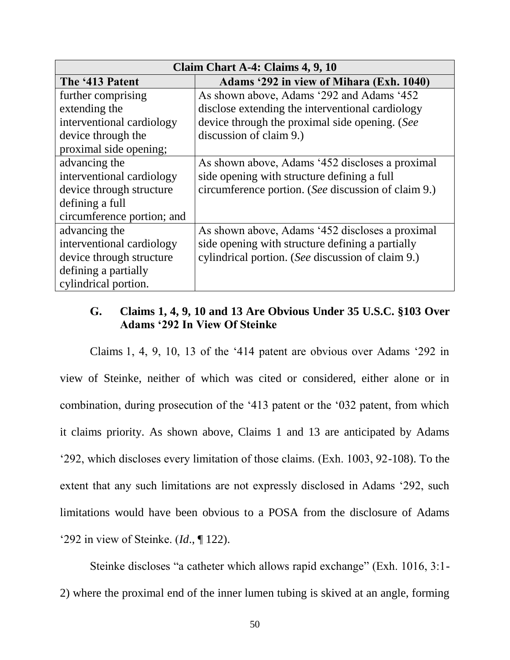| Claim Chart A-4: Claims 4, 9, 10 |                                                     |  |
|----------------------------------|-----------------------------------------------------|--|
| The '413 Patent                  | Adams '292 in view of Mihara (Exh. 1040)            |  |
| further comprising               | As shown above, Adams '292 and Adams '452           |  |
| extending the                    | disclose extending the interventional cardiology    |  |
| interventional cardiology        | device through the proximal side opening. (See      |  |
| device through the               | discussion of claim 9.)                             |  |
| proximal side opening;           |                                                     |  |
| advancing the                    | As shown above, Adams '452 discloses a proximal     |  |
| interventional cardiology        | side opening with structure defining a full         |  |
| device through structure         | circumference portion. (See discussion of claim 9.) |  |
| defining a full                  |                                                     |  |
| circumference portion; and       |                                                     |  |
| advancing the                    | As shown above, Adams '452 discloses a proximal     |  |
| interventional cardiology        | side opening with structure defining a partially    |  |
| device through structure         | cylindrical portion. (See discussion of claim 9.)   |  |
| defining a partially             |                                                     |  |
| cylindrical portion.             |                                                     |  |

# <span id="page-50-0"></span>**G. Claims 1, 4, 9, 10 and 13 Are Obvious Under 35 U.S.C. §103 Over Adams '292 In View Of Steinke**

Claims 1, 4, 9, 10, 13 of the '414 patent are obvious over Adams '292 in view of Steinke, neither of which was cited or considered, either alone or in combination, during prosecution of the '413 patent or the '032 patent, from which it claims priority. As shown above, Claims 1 and 13 are anticipated by Adams '292, which discloses every limitation of those claims. (Exh. 1003, 92-108). To the extent that any such limitations are not expressly disclosed in Adams '292, such limitations would have been obvious to a POSA from the disclosure of Adams '292 in view of Steinke. (*Id*., ¶ 122).

Steinke discloses "a catheter which allows rapid exchange" (Exh. 1016, 3:1- 2) where the proximal end of the inner lumen tubing is skived at an angle, forming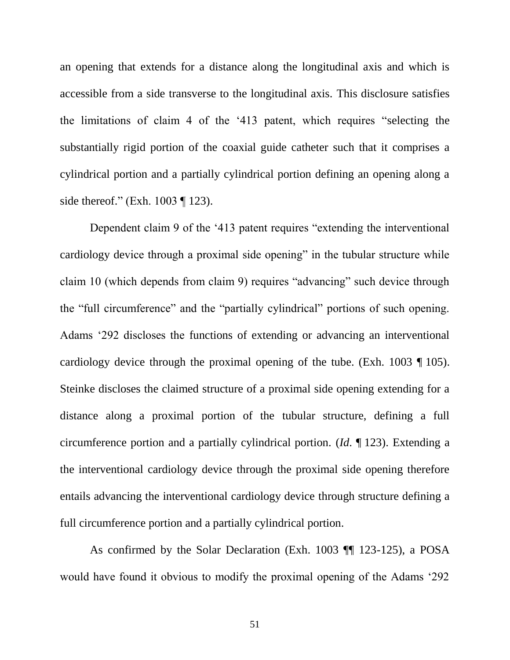an opening that extends for a distance along the longitudinal axis and which is accessible from a side transverse to the longitudinal axis. This disclosure satisfies the limitations of claim 4 of the '413 patent, which requires "selecting the substantially rigid portion of the coaxial guide catheter such that it comprises a cylindrical portion and a partially cylindrical portion defining an opening along a side thereof." (Exh. 1003 ¶ 123).

Dependent claim 9 of the '413 patent requires "extending the interventional cardiology device through a proximal side opening" in the tubular structure while claim 10 (which depends from claim 9) requires "advancing" such device through the "full circumference" and the "partially cylindrical" portions of such opening. Adams '292 discloses the functions of extending or advancing an interventional cardiology device through the proximal opening of the tube. (Exh. 1003 ¶ 105). Steinke discloses the claimed structure of a proximal side opening extending for a distance along a proximal portion of the tubular structure, defining a full circumference portion and a partially cylindrical portion. (*Id*. ¶ 123). Extending a the interventional cardiology device through the proximal side opening therefore entails advancing the interventional cardiology device through structure defining a full circumference portion and a partially cylindrical portion.

As confirmed by the Solar Declaration (Exh. 1003 ¶¶ 123-125), a POSA would have found it obvious to modify the proximal opening of the Adams '292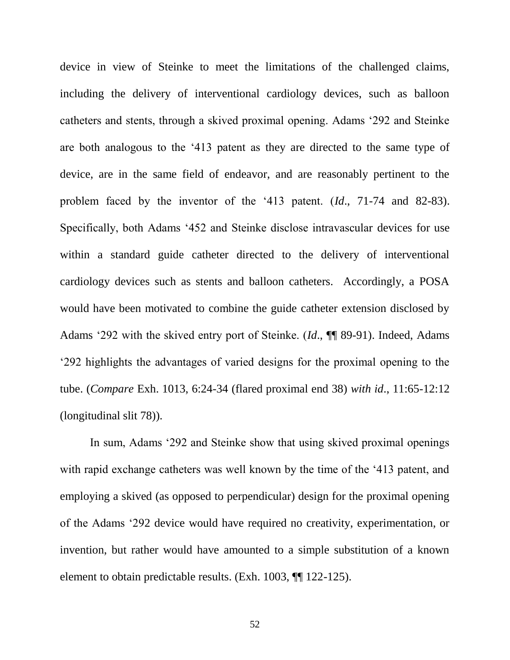device in view of Steinke to meet the limitations of the challenged claims, including the delivery of interventional cardiology devices, such as balloon catheters and stents, through a skived proximal opening. Adams '292 and Steinke are both analogous to the '413 patent as they are directed to the same type of device, are in the same field of endeavor, and are reasonably pertinent to the problem faced by the inventor of the '413 patent. (*Id*., 71-74 and 82-83). Specifically, both Adams '452 and Steinke disclose intravascular devices for use within a standard guide catheter directed to the delivery of interventional cardiology devices such as stents and balloon catheters. Accordingly, a POSA would have been motivated to combine the guide catheter extension disclosed by Adams '292 with the skived entry port of Steinke. (*Id*., ¶¶ 89-91). Indeed, Adams '292 highlights the advantages of varied designs for the proximal opening to the tube. (*Compare* Exh. 1013, 6:24-34 (flared proximal end 38) *with id*., 11:65-12:12 (longitudinal slit 78)).

In sum, Adams '292 and Steinke show that using skived proximal openings with rapid exchange catheters was well known by the time of the '413 patent, and employing a skived (as opposed to perpendicular) design for the proximal opening of the Adams '292 device would have required no creativity, experimentation, or invention, but rather would have amounted to a simple substitution of a known element to obtain predictable results. (Exh. 1003, ¶¶ 122-125).

52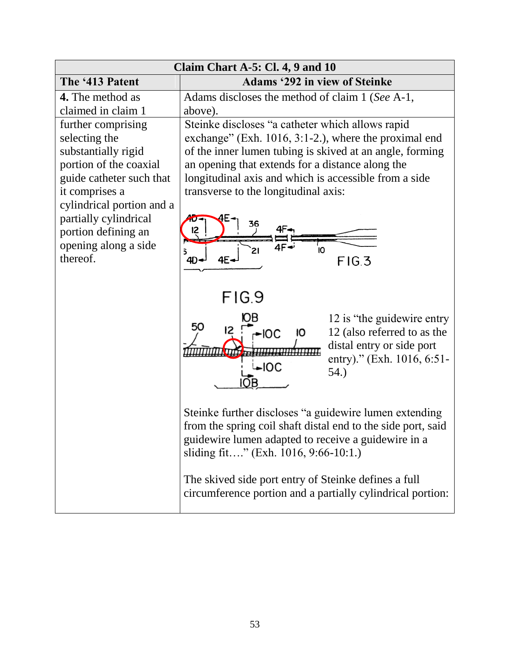| Claim Chart A-5: Cl. 4, 9 and 10                                                                                                                                                                                                                    |                                                                                                                                                                                                                                                                                                                                                                                                                                                                                                                                            |  |
|-----------------------------------------------------------------------------------------------------------------------------------------------------------------------------------------------------------------------------------------------------|--------------------------------------------------------------------------------------------------------------------------------------------------------------------------------------------------------------------------------------------------------------------------------------------------------------------------------------------------------------------------------------------------------------------------------------------------------------------------------------------------------------------------------------------|--|
| The '413 Patent                                                                                                                                                                                                                                     | <b>Adams '292 in view of Steinke</b>                                                                                                                                                                                                                                                                                                                                                                                                                                                                                                       |  |
| <b>4.</b> The method as<br>claimed in claim 1                                                                                                                                                                                                       | Adams discloses the method of claim 1 (See A-1,<br>above).                                                                                                                                                                                                                                                                                                                                                                                                                                                                                 |  |
| further comprising<br>selecting the<br>substantially rigid<br>portion of the coaxial<br>guide catheter such that<br>it comprises a<br>cylindrical portion and a<br>partially cylindrical<br>portion defining an<br>opening along a side<br>thereof. | Steinke discloses "a catheter which allows rapid<br>exchange" (Exh. $1016$ , $3:1-2$ .), where the proximal end<br>of the inner lumen tubing is skived at an angle, forming<br>an opening that extends for a distance along the<br>longitudinal axis and which is accessible from a side<br>transverse to the longitudinal axis:<br>36<br>12<br>Ï0<br>21<br>FIG.3<br>4E-<br>$4D-$                                                                                                                                                          |  |
|                                                                                                                                                                                                                                                     | FIG.9<br>12 is "the guidewire entry"<br>50<br>12 (also referred to as the<br>$-IOC$<br>ю<br>distal entry or side port<br>entry)." (Exh. 1016, 6:51-<br>$\overline{\phantom{1}}$ loc<br>54.)<br>Steinke further discloses "a guidewire lumen extending<br>from the spring coil shaft distal end to the side port, said<br>guidewire lumen adapted to receive a guidewire in a<br>sliding fit" (Exh. 1016, 9:66-10:1.)<br>The skived side port entry of Steinke defines a full<br>circumference portion and a partially cylindrical portion: |  |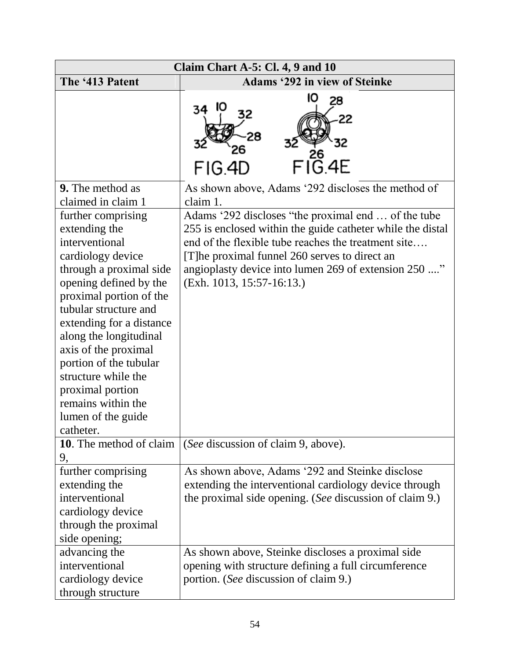| Claim Chart A-5: Cl. 4, 9 and 10                                                                                                                                                                                                                                                                                                                                                                |                                                                                                                                                                                                                                                                                                                   |  |
|-------------------------------------------------------------------------------------------------------------------------------------------------------------------------------------------------------------------------------------------------------------------------------------------------------------------------------------------------------------------------------------------------|-------------------------------------------------------------------------------------------------------------------------------------------------------------------------------------------------------------------------------------------------------------------------------------------------------------------|--|
| The '413 Patent                                                                                                                                                                                                                                                                                                                                                                                 | <b>Adams '292 in view of Steinke</b>                                                                                                                                                                                                                                                                              |  |
|                                                                                                                                                                                                                                                                                                                                                                                                 | 10<br>28<br>34<br>22<br>$FI_{\rm G.4E}^{\rm Z6}$<br>FIG.4D                                                                                                                                                                                                                                                        |  |
| <b>9.</b> The method as<br>claimed in claim 1                                                                                                                                                                                                                                                                                                                                                   | As shown above, Adams '292 discloses the method of<br>claim 1.                                                                                                                                                                                                                                                    |  |
| further comprising<br>extending the<br>interventional<br>cardiology device<br>through a proximal side<br>opening defined by the<br>proximal portion of the<br>tubular structure and<br>extending for a distance<br>along the longitudinal<br>axis of the proximal<br>portion of the tubular<br>structure while the<br>proximal portion<br>remains within the<br>lumen of the guide<br>catheter. | Adams '292 discloses "the proximal end  of the tube<br>255 is enclosed within the guide catheter while the distal<br>end of the flexible tube reaches the treatment site<br>[T] he proximal funnel 260 serves to direct an<br>angioplasty device into lumen 269 of extension 250 "<br>$(Exh. 1013, 15:57-16:13.)$ |  |
| 10. The method of claim<br>9,                                                                                                                                                                                                                                                                                                                                                                   | (See discussion of claim 9, above).                                                                                                                                                                                                                                                                               |  |
| further comprising<br>extending the<br>interventional<br>cardiology device<br>through the proximal<br>side opening;                                                                                                                                                                                                                                                                             | As shown above, Adams '292 and Steinke disclose<br>extending the interventional cardiology device through<br>the proximal side opening. (See discussion of claim 9.)                                                                                                                                              |  |
| advancing the<br>interventional<br>cardiology device<br>through structure                                                                                                                                                                                                                                                                                                                       | As shown above, Steinke discloses a proximal side<br>opening with structure defining a full circumference<br>portion. (See discussion of claim 9.)                                                                                                                                                                |  |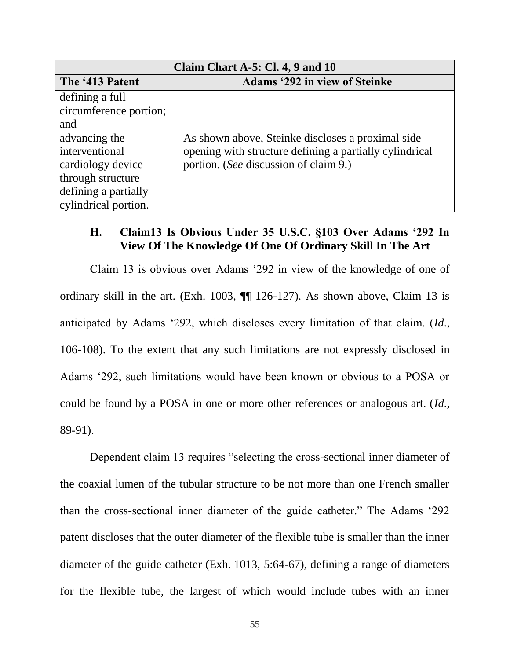| Claim Chart A-5: Cl. 4, 9 and $10$ |                                                         |  |
|------------------------------------|---------------------------------------------------------|--|
| The '413 Patent                    | <b>Adams '292 in view of Steinke</b>                    |  |
| defining a full                    |                                                         |  |
| circumference portion;             |                                                         |  |
| and                                |                                                         |  |
| advancing the                      | As shown above, Steinke discloses a proximal side       |  |
| interventional                     | opening with structure defining a partially cylindrical |  |
| cardiology device                  | portion. (See discussion of claim 9.)                   |  |
| through structure                  |                                                         |  |
| defining a partially               |                                                         |  |
| cylindrical portion.               |                                                         |  |

### <span id="page-55-0"></span>**H. Claim13 Is Obvious Under 35 U.S.C. §103 Over Adams '292 In View Of The Knowledge Of One Of Ordinary Skill In The Art**

Claim 13 is obvious over Adams '292 in view of the knowledge of one of ordinary skill in the art. (Exh. 1003, ¶¶ 126-127). As shown above, Claim 13 is anticipated by Adams '292, which discloses every limitation of that claim. (*Id*., 106-108). To the extent that any such limitations are not expressly disclosed in Adams '292, such limitations would have been known or obvious to a POSA or could be found by a POSA in one or more other references or analogous art. (*Id*., 89-91).

Dependent claim 13 requires "selecting the cross-sectional inner diameter of the coaxial lumen of the tubular structure to be not more than one French smaller than the cross-sectional inner diameter of the guide catheter." The Adams '292 patent discloses that the outer diameter of the flexible tube is smaller than the inner diameter of the guide catheter (Exh. 1013, 5:64-67), defining a range of diameters for the flexible tube, the largest of which would include tubes with an inner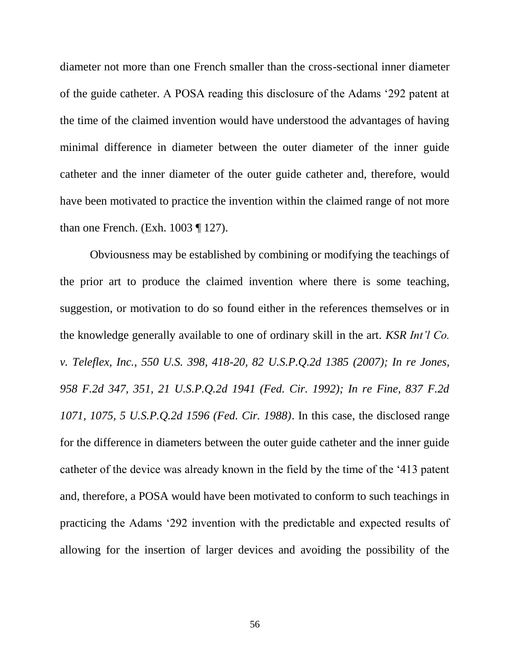diameter not more than one French smaller than the cross-sectional inner diameter of the guide catheter. A POSA reading this disclosure of the Adams '292 patent at the time of the claimed invention would have understood the advantages of having minimal difference in diameter between the outer diameter of the inner guide catheter and the inner diameter of the outer guide catheter and, therefore, would have been motivated to practice the invention within the claimed range of not more than one French. (Exh. 1003 ¶ 127).

Obviousness may be established by combining or modifying the teachings of the prior art to produce the claimed invention where there is some teaching, suggestion, or motivation to do so found either in the references themselves or in the knowledge generally available to one of ordinary skill in the art. *KSR Int'l Co. v. Teleflex, Inc., 550 U.S. 398, 418-20, 82 U.S.P.Q.2d 1385 (2007); In re Jones, 958 F.2d 347, 351, 21 U.S.P.Q.2d 1941 (Fed. Cir. 1992); In re Fine, 837 F.2d 1071, 1075, 5 U.S.P.Q.2d 1596 (Fed. Cir. 1988)*. In this case, the disclosed range for the difference in diameters between the outer guide catheter and the inner guide catheter of the device was already known in the field by the time of the '413 patent and, therefore, a POSA would have been motivated to conform to such teachings in practicing the Adams '292 invention with the predictable and expected results of allowing for the insertion of larger devices and avoiding the possibility of the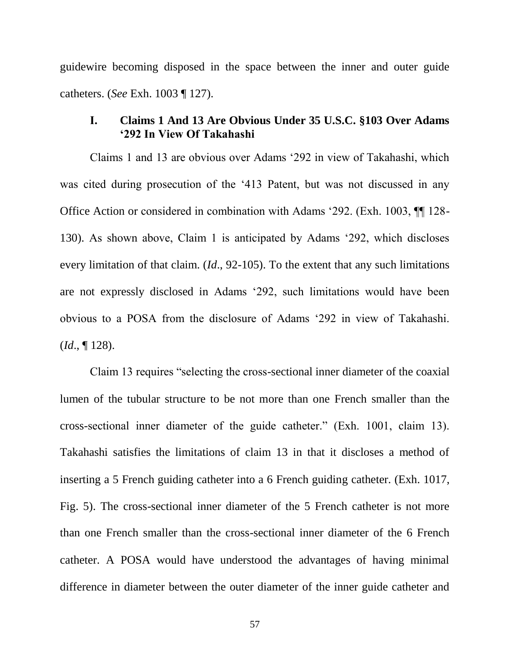guidewire becoming disposed in the space between the inner and outer guide catheters. (*See* Exh. 1003 ¶ 127).

### <span id="page-57-0"></span>**I. Claims 1 And 13 Are Obvious Under 35 U.S.C. §103 Over Adams '292 In View Of Takahashi**

Claims 1 and 13 are obvious over Adams '292 in view of Takahashi, which was cited during prosecution of the '413 Patent, but was not discussed in any Office Action or considered in combination with Adams '292. (Exh. 1003, ¶¶ 128- 130). As shown above, Claim 1 is anticipated by Adams '292, which discloses every limitation of that claim. (*Id*., 92-105). To the extent that any such limitations are not expressly disclosed in Adams '292, such limitations would have been obvious to a POSA from the disclosure of Adams '292 in view of Takahashi. (*Id*., ¶ 128).

Claim 13 requires "selecting the cross-sectional inner diameter of the coaxial lumen of the tubular structure to be not more than one French smaller than the cross-sectional inner diameter of the guide catheter." (Exh. 1001, claim 13). Takahashi satisfies the limitations of claim 13 in that it discloses a method of inserting a 5 French guiding catheter into a 6 French guiding catheter. (Exh. 1017, Fig. 5). The cross-sectional inner diameter of the 5 French catheter is not more than one French smaller than the cross-sectional inner diameter of the 6 French catheter. A POSA would have understood the advantages of having minimal difference in diameter between the outer diameter of the inner guide catheter and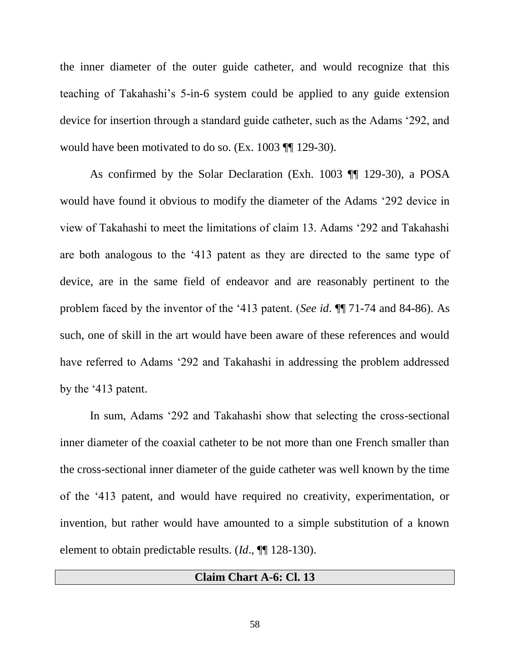the inner diameter of the outer guide catheter, and would recognize that this teaching of Takahashi's 5-in-6 system could be applied to any guide extension device for insertion through a standard guide catheter, such as the Adams '292, and would have been motivated to do so. (Ex. 1003 ¶¶ 129-30).

As confirmed by the Solar Declaration (Exh. 1003 ¶¶ 129-30), a POSA would have found it obvious to modify the diameter of the Adams '292 device in view of Takahashi to meet the limitations of claim 13. Adams '292 and Takahashi are both analogous to the '413 patent as they are directed to the same type of device, are in the same field of endeavor and are reasonably pertinent to the problem faced by the inventor of the '413 patent. (*See id*. ¶¶ 71-74 and 84-86). As such, one of skill in the art would have been aware of these references and would have referred to Adams '292 and Takahashi in addressing the problem addressed by the '413 patent.

In sum, Adams '292 and Takahashi show that selecting the cross-sectional inner diameter of the coaxial catheter to be not more than one French smaller than the cross-sectional inner diameter of the guide catheter was well known by the time of the '413 patent, and would have required no creativity, experimentation, or invention, but rather would have amounted to a simple substitution of a known element to obtain predictable results. (*Id*., ¶¶ 128-130).

#### **Claim Chart A-6: Cl. 13**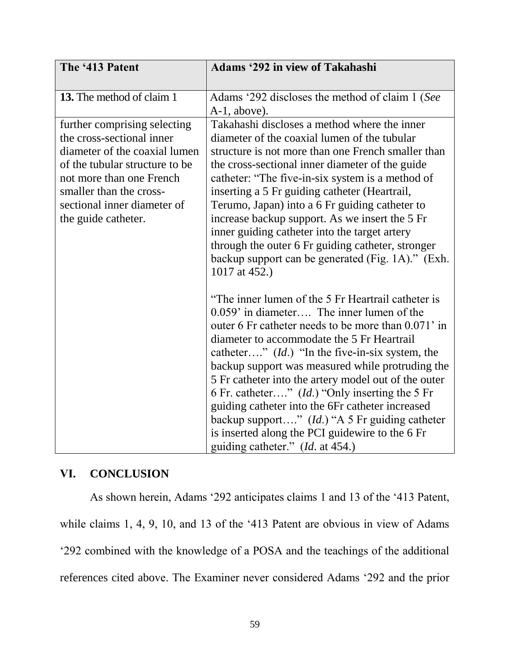| The '413 Patent                                                                                                                                                                                                                           | <b>Adams '292 in view of Takahashi</b>                                                                                                                                                                                                                                                                                                                                                                                                                                                                                                                                                                                                 |
|-------------------------------------------------------------------------------------------------------------------------------------------------------------------------------------------------------------------------------------------|----------------------------------------------------------------------------------------------------------------------------------------------------------------------------------------------------------------------------------------------------------------------------------------------------------------------------------------------------------------------------------------------------------------------------------------------------------------------------------------------------------------------------------------------------------------------------------------------------------------------------------------|
| 13. The method of claim 1                                                                                                                                                                                                                 | Adams '292 discloses the method of claim 1 (See<br>$A-1$ , above).                                                                                                                                                                                                                                                                                                                                                                                                                                                                                                                                                                     |
| further comprising selecting<br>the cross-sectional inner<br>diameter of the coaxial lumen<br>of the tubular structure to be<br>not more than one French<br>smaller than the cross-<br>sectional inner diameter of<br>the guide catheter. | Takahashi discloses a method where the inner<br>diameter of the coaxial lumen of the tubular<br>structure is not more than one French smaller than<br>the cross-sectional inner diameter of the guide<br>catheter: "The five-in-six system is a method of<br>inserting a 5 Fr guiding catheter (Heartrail,<br>Terumo, Japan) into a 6 Fr guiding catheter to<br>increase backup support. As we insert the 5 Fr<br>inner guiding catheter into the target artery<br>through the outer 6 Fr guiding catheter, stronger<br>backup support can be generated (Fig. 1A)." (Exh.<br>1017 at 452.)                                             |
|                                                                                                                                                                                                                                           | "The inner lumen of the 5 Fr Heartrail catheter is<br>$0.059$ in diameter The inner lumen of the<br>outer 6 Fr catheter needs to be more than 0.071' in<br>diameter to accommodate the 5 Fr Heartrail<br>catheter" $(Id.)$ "In the five-in-six system, the<br>backup support was measured while protruding the<br>5 Fr catheter into the artery model out of the outer<br>6 Fr. catheter" ( <i>Id.</i> ) "Only inserting the 5 Fr<br>guiding catheter into the 6Fr catheter increased<br>backup support" (Id.) "A 5 Fr guiding catheter<br>is inserted along the PCI guidewire to the 6 Fr<br>guiding catheter." ( <i>Id.</i> at 454.) |

# <span id="page-59-0"></span>**VI. CONCLUSION**

As shown herein, Adams '292 anticipates claims 1 and 13 of the '413 Patent, while claims 1, 4, 9, 10, and 13 of the '413 Patent are obvious in view of Adams '292 combined with the knowledge of a POSA and the teachings of the additional references cited above. The Examiner never considered Adams '292 and the prior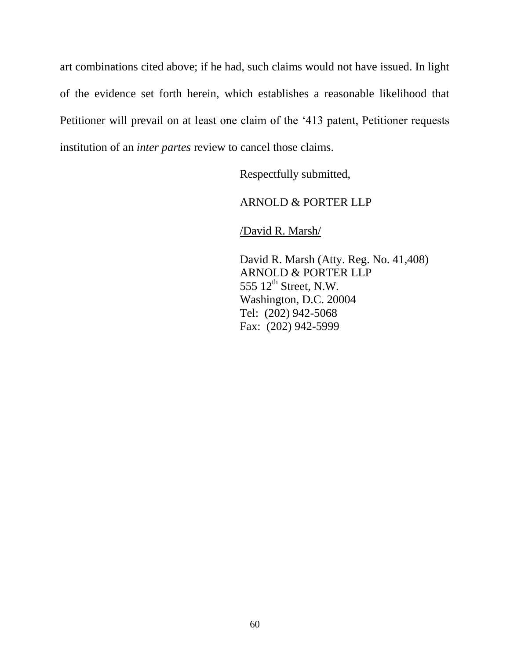art combinations cited above; if he had, such claims would not have issued. In light of the evidence set forth herein, which establishes a reasonable likelihood that Petitioner will prevail on at least one claim of the '413 patent, Petitioner requests institution of an *inter partes* review to cancel those claims.

Respectfully submitted,

# ARNOLD & PORTER LLP

/David R. Marsh/

David R. Marsh (Atty. Reg. No. 41,408) ARNOLD & PORTER LLP  $555$   $12^{\text{th}}$  Street, N.W. Washington, D.C. 20004 Tel: (202) 942-5068 Fax: (202) 942-5999